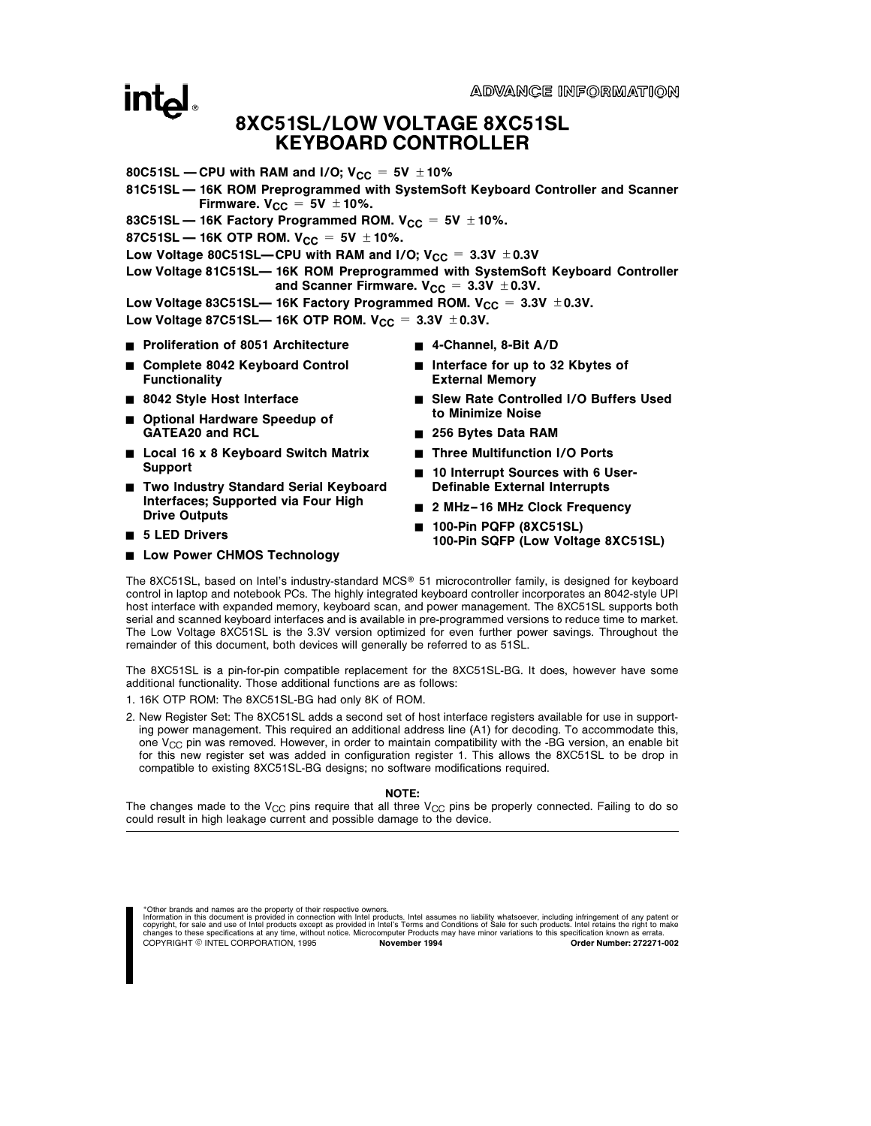ADVANCE INFORMATION

## **intel**

## 8XC51SL/LOW VOLTAGE 8XC51SL KEYBOARD CONTROLLER

- 80C51SL CPU with RAM and I/O;  $V_{CC} = 5V \pm 10\%$
- 81C51SL 16K ROM Preprogrammed with SystemSoft Keyboard Controller and Scanner Firmware.  $V_{CC} = 5V \pm 10\%$ .
- 83C51SL  $-$  16K Factory Programmed ROM.  $V_{CC} = 5V \pm 10\%$ .

87C51SL — 16K OTP ROM.  $V_{CC} = 5V \pm 10\%$ .

- Low Voltage 80C51SL—CPU with RAM and I/O;  $V_{CC} = 3.3V \pm 0.3V$
- Low Voltage 81C51SL- 16K ROM Preprogrammed with SystemSoft Keyboard Controller and Scanner Firmware.  $V_{CC} = 3.3V \pm 0.3V$ .
- Low Voltage 83C51SL— 16K Factory Programmed ROM. V<sub>CC</sub> =  $3.3V \pm 0.3V$ .

Low Voltage 87C51SL— 16K OTP ROM.  $V_{CC} = 3.3V \pm 0.3V$ .

- Proliferation of 8051 Architecture
- Complete 8042 Keyboard Control **Functionality**
- 8042 Style Host Interface
- Optional Hardware Speedup of GATEA20 and RCL
- Local 16 x 8 Keyboard Switch Matrix Support
- Two Industry Standard Serial Keyboard Interfaces; Supported via Four High Drive Outputs
- $\blacksquare$  5 LED Drivers
- **E** Low Power CHMOS Technology
- 4-Channel, 8-Bit A/D
- Interface for up to 32 Kbytes of External Memory
- Slew Rate Controlled I/O Buffers Used to Minimize Noise
- 256 Bytes Data RAM
- Three Multifunction I/O Ports
- 10 Interrupt Sources with 6 User-Definable External Interrupts
- 2 MHz-16 MHz Clock Frequency
- 100-Pin PQFP (8XC51SL) 100-Pin SQFP (Low Voltage 8XC51SL)

The 8XC51SL, based on Intel's industry-standard MCS® 51 microcontroller family, is designed for keyboard control in laptop and notebook PCs. The highly integrated keyboard controller incorporates an 8042-style UPI host interface with expanded memory, keyboard scan, and power management. The 8XC51SL supports both serial and scanned keyboard interfaces and is available in pre-programmed versions to reduce time to market. The Low Voltage 8XC51SL is the 3.3V version optimized for even further power savings. Throughout the remainder of this document, both devices will generally be referred to as 51SL.

The 8XC51SL is a pin-for-pin compatible replacement for the 8XC51SL-BG. It does, however have some additional functionality. Those additional functions are as follows:

- 1. 16K OTP ROM: The 8XC51SL-BG had only 8K of ROM.
- 2. New Register Set: The 8XC51SL adds a second set of host interface registers available for use in supporting power management. This required an additional address line (A1) for decoding. To accommodate this, one  $V_{CC}$  pin was removed. However, in order to maintain compatibility with the -BG version, an enable bit for this new register set was added in configuration register 1. This allows the 8XC51SL to be drop in compatible to existing 8XC51SL-BG designs; no software modifications required.

#### NOTE:

The changes made to the V<sub>CC</sub> pins require that all three V<sub>CC</sub> pins be properly connected. Failing to do so could result in high leakage current and possible damage to the device.

\*Other brands and names are the property of their respective owners.

Information in this document is provided in connection with Intel products. Intel assumes no liability whatsoever, including infringement of any patent or<br>copyright, for sale and use of Intel products except as provided in COPYRIGHT © INTEL CORPORATION, 1995 November 1994 And Copyright Content Content 272271-002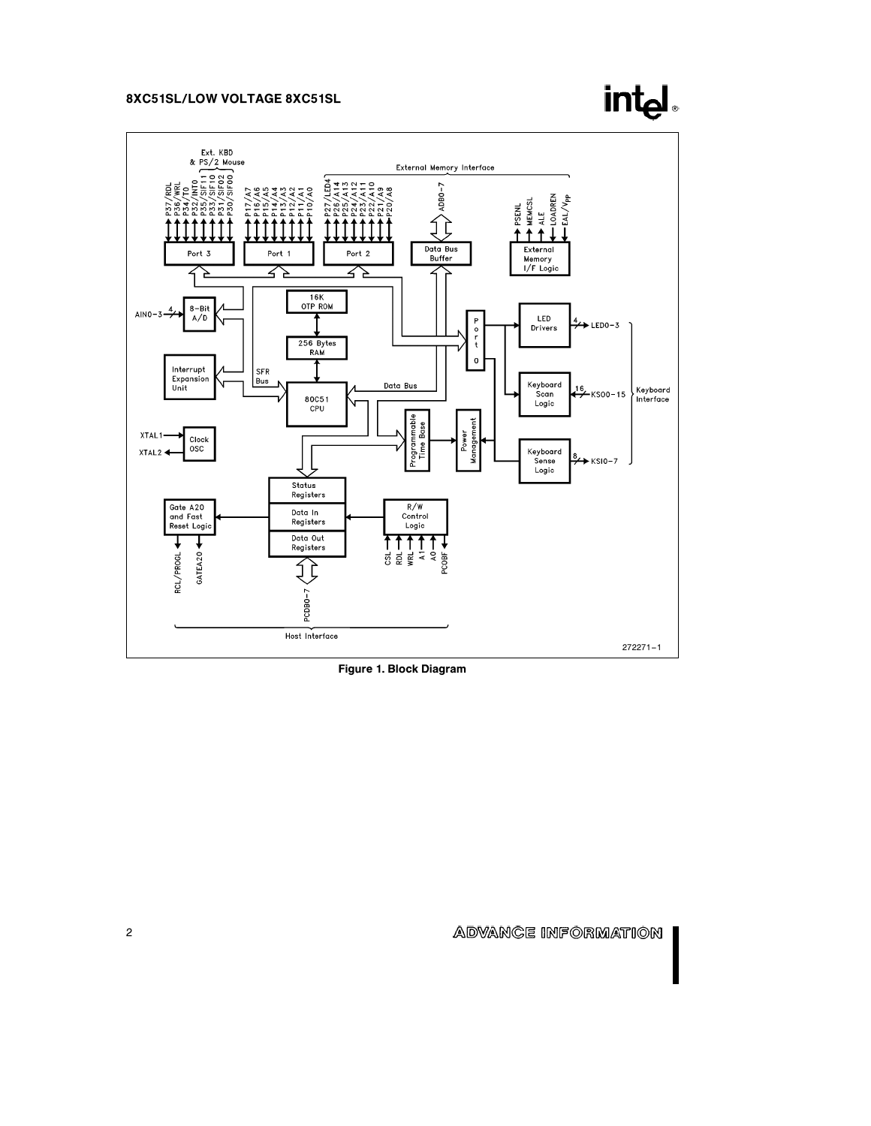



Figure 1. Block Diagram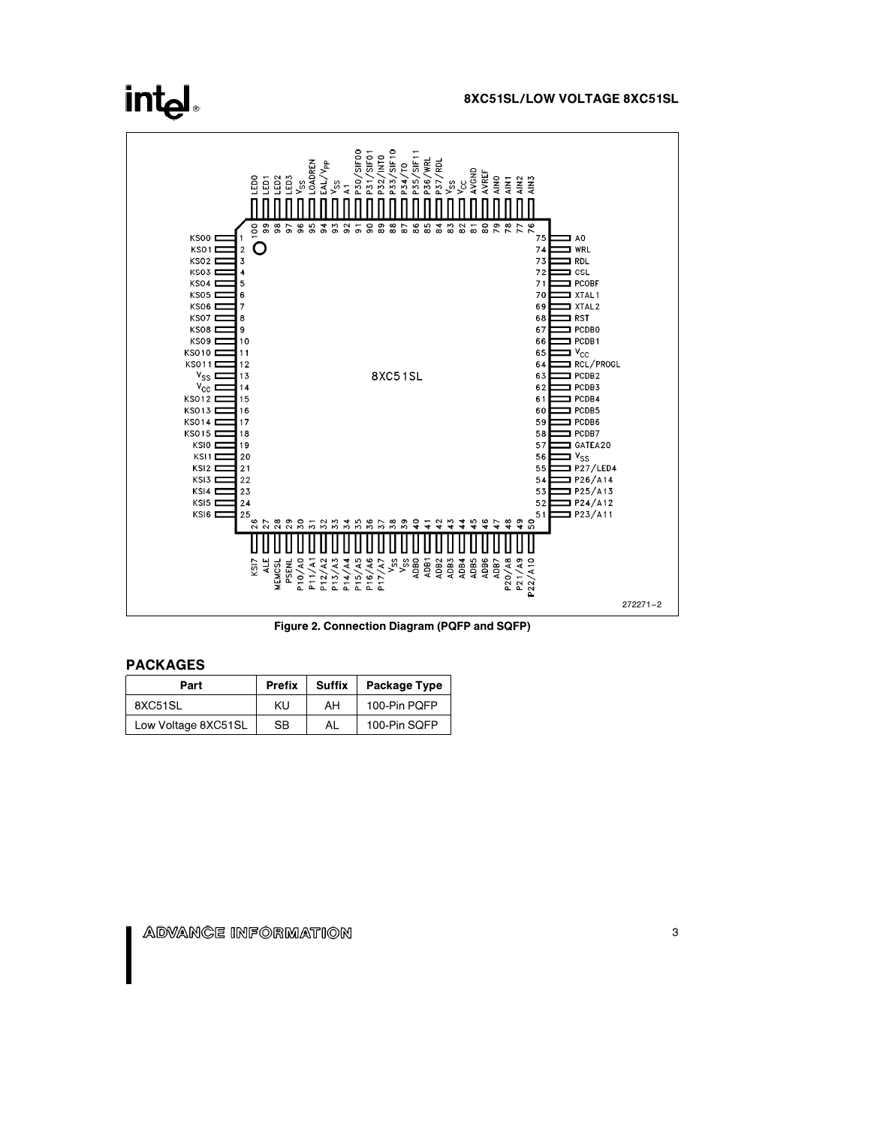#### 8XC51SL/LOW VOLTAGE 8XC51SL



Figure 2. Connection Diagram (PQFP and SQFP)

### PACKAGES

| Part                | <b>Prefix</b> | Suffix | <b>Package Type</b> |
|---------------------|---------------|--------|---------------------|
| 8XC51SL             | KU            | AH     | 100-Pin POFP        |
| Low Voltage 8XC51SL | <b>SB</b>     | AL     | 100-Pin SQFP        |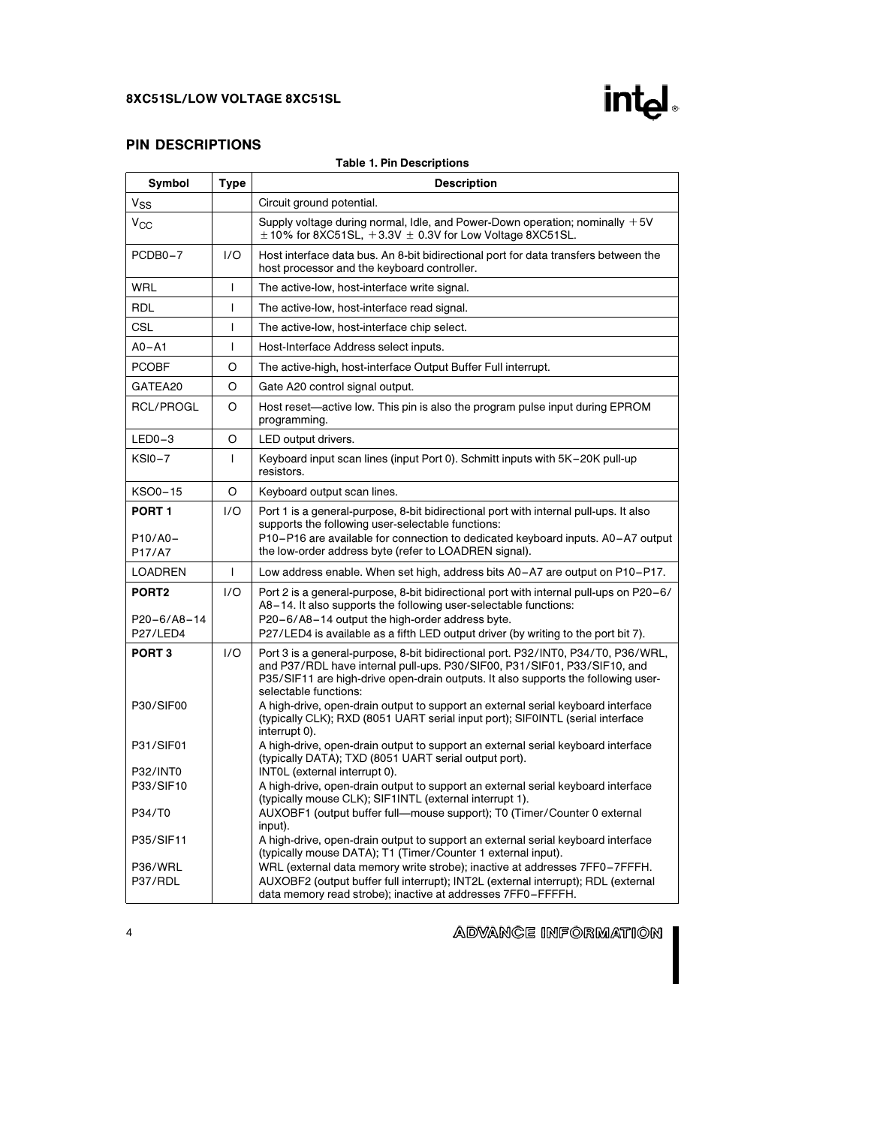

## PIN DESCRIPTIONS

|                                  |                | <b>Table 1. Pin Descriptions</b>                                                                                                                                                                                                                                                                                                                                                                                                                  |
|----------------------------------|----------------|---------------------------------------------------------------------------------------------------------------------------------------------------------------------------------------------------------------------------------------------------------------------------------------------------------------------------------------------------------------------------------------------------------------------------------------------------|
| Symbol                           | Type           | <b>Description</b>                                                                                                                                                                                                                                                                                                                                                                                                                                |
| V <sub>SS</sub>                  |                | Circuit ground potential.                                                                                                                                                                                                                                                                                                                                                                                                                         |
| $\rm v_{\rm CC}$                 |                | Supply voltage during normal, Idle, and Power-Down operation; nominally $+5V$<br>$\pm$ 10% for 8XC51SL, $+3.3V \pm 0.3V$ for Low Voltage 8XC51SL.                                                                                                                                                                                                                                                                                                 |
| PCDB0-7                          | 1/O            | Host interface data bus. An 8-bit bidirectional port for data transfers between the<br>host processor and the keyboard controller.                                                                                                                                                                                                                                                                                                                |
| WRL                              | T              | The active-low, host-interface write signal.                                                                                                                                                                                                                                                                                                                                                                                                      |
| <b>RDL</b>                       | T              | The active-low, host-interface read signal.                                                                                                                                                                                                                                                                                                                                                                                                       |
| CSL                              | T              | The active-low, host-interface chip select.                                                                                                                                                                                                                                                                                                                                                                                                       |
| $A0 - A1$                        | $\overline{1}$ | Host-Interface Address select inputs.                                                                                                                                                                                                                                                                                                                                                                                                             |
| <b>PCOBF</b>                     | O              | The active-high, host-interface Output Buffer Full interrupt.                                                                                                                                                                                                                                                                                                                                                                                     |
| GATEA20                          | O              | Gate A20 control signal output.                                                                                                                                                                                                                                                                                                                                                                                                                   |
| RCL/PROGL                        | O              | Host reset—active low. This pin is also the program pulse input during EPROM<br>programming.                                                                                                                                                                                                                                                                                                                                                      |
| $LED0-3$                         | O              | LED output drivers.                                                                                                                                                                                                                                                                                                                                                                                                                               |
| <b>KSI0-7</b>                    | T              | Keyboard input scan lines (input Port 0). Schmitt inputs with 5K-20K pull-up<br>resistors.                                                                                                                                                                                                                                                                                                                                                        |
| KSO0-15                          | O              | Keyboard output scan lines.                                                                                                                                                                                                                                                                                                                                                                                                                       |
| PORT 1<br>P10/A0-<br>P17/A7      | 1/O            | Port 1 is a general-purpose, 8-bit bidirectional port with internal pull-ups. It also<br>supports the following user-selectable functions:<br>P10-P16 are available for connection to dedicated keyboard inputs. A0-A7 output<br>the low-order address byte (refer to LOADREN signal).                                                                                                                                                            |
| <b>LOADREN</b>                   | $\mathbf{I}$   | Low address enable. When set high, address bits A0-A7 are output on P10-P17.                                                                                                                                                                                                                                                                                                                                                                      |
| PORT2<br>P20-6/A8-14<br>P27/LED4 | 1/O            | Port 2 is a general-purpose, 8-bit bidirectional port with internal pull-ups on P20-6/<br>A8-14. It also supports the following user-selectable functions:<br>P20-6/A8-14 output the high-order address byte.<br>P27/LED4 is available as a fifth LED output driver (by writing to the port bit 7).                                                                                                                                               |
| PORT <sub>3</sub><br>P30/SIF00   | 1/O            | Port 3 is a general-purpose, 8-bit bidirectional port. P32/INT0, P34/T0, P36/WRL,<br>and P37/RDL have internal pull-ups. P30/SIF00, P31/SIF01, P33/SIF10, and<br>P35/SIF11 are high-drive open-drain outputs. It also supports the following user-<br>selectable functions:<br>A high-drive, open-drain output to support an external serial keyboard interface<br>(typically CLK); RXD (8051 UART serial input port); SIF0INTL (serial interface |
| P31/SIF01                        |                | interrupt 0).<br>A high-drive, open-drain output to support an external serial keyboard interface<br>(typically DATA); TXD (8051 UART serial output port).                                                                                                                                                                                                                                                                                        |
| P32/INT0<br>P33/SIF10            |                | INTOL (external interrupt 0).<br>A high-drive, open-drain output to support an external serial keyboard interface<br>(typically mouse CLK); SIF1INTL (external interrupt 1).                                                                                                                                                                                                                                                                      |
| P34/T0                           |                | AUXOBF1 (output buffer full-mouse support); T0 (Timer/Counter 0 external<br>input).                                                                                                                                                                                                                                                                                                                                                               |
| P35/SIF11                        |                | A high-drive, open-drain output to support an external serial keyboard interface<br>(typically mouse DATA); T1 (Timer/Counter 1 external input).                                                                                                                                                                                                                                                                                                  |
| P36/WRL<br>P37/RDL               |                | WRL (external data memory write strobe); inactive at addresses 7FF0-7FFFH.<br>AUXOBF2 (output buffer full interrupt); INT2L (external interrupt); RDL (external<br>data memory read strobe); inactive at addresses 7FF0-FFFFH.                                                                                                                                                                                                                    |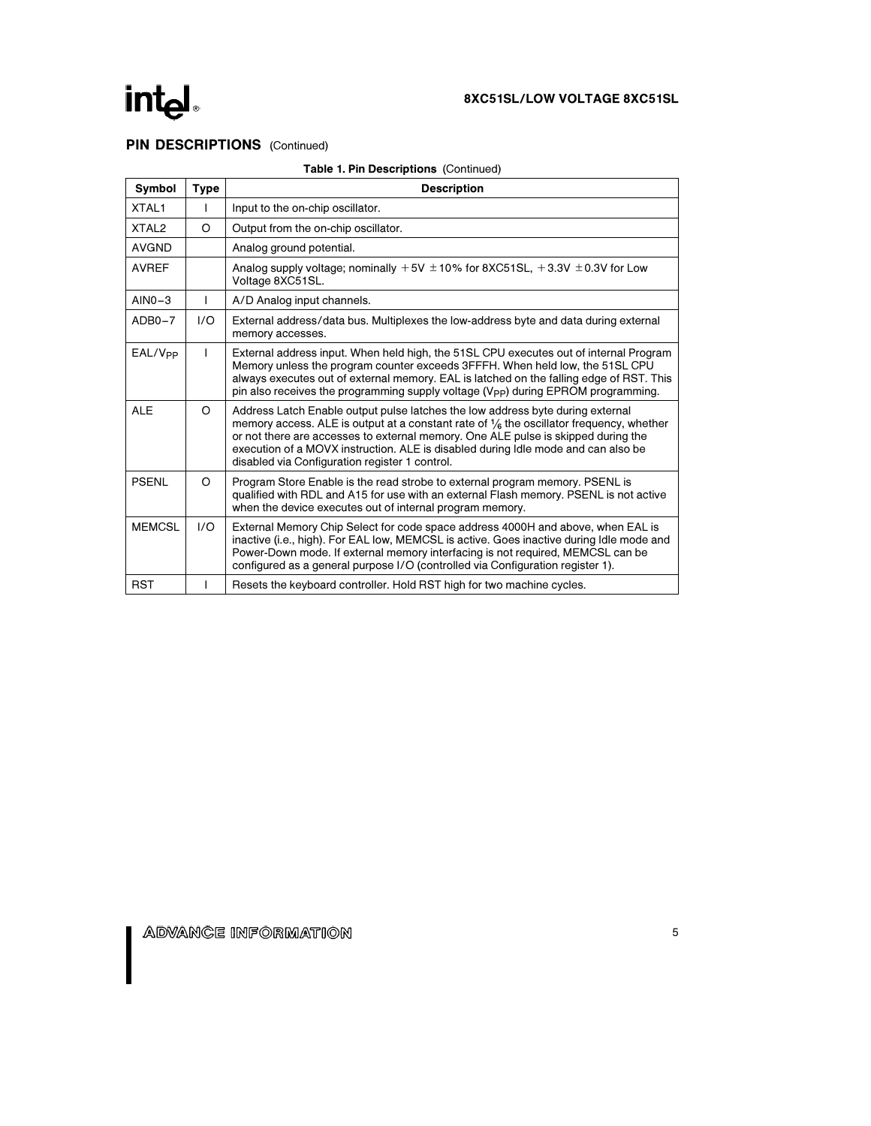## PIN DESCRIPTIONS (Continued)

| Symbol              | <b>Type</b> | <b>Description</b>                                                                                                                                                                                                                                                                                                                                                                                               |
|---------------------|-------------|------------------------------------------------------------------------------------------------------------------------------------------------------------------------------------------------------------------------------------------------------------------------------------------------------------------------------------------------------------------------------------------------------------------|
| XTAL <sub>1</sub>   |             | Input to the on-chip oscillator.                                                                                                                                                                                                                                                                                                                                                                                 |
| XTAL <sub>2</sub>   | O           | Output from the on-chip oscillator.                                                                                                                                                                                                                                                                                                                                                                              |
| <b>AVGND</b>        |             | Analog ground potential.                                                                                                                                                                                                                                                                                                                                                                                         |
| <b>AVREF</b>        |             | Analog supply voltage; nominally $+5V \pm 10\%$ for 8XC51SL, $+3.3V \pm 0.3V$ for Low<br>Voltage 8XC51SL.                                                                                                                                                                                                                                                                                                        |
| $AlNO-3$            | L           | A/D Analog input channels.                                                                                                                                                                                                                                                                                                                                                                                       |
| $ADB0-7$            | 1/O         | External address/data bus. Multiplexes the low-address byte and data during external<br>memory accesses.                                                                                                                                                                                                                                                                                                         |
| EAL/V <sub>PP</sub> |             | External address input. When held high, the 51SL CPU executes out of internal Program<br>Memory unless the program counter exceeds 3FFFH. When held low, the 51SL CPU<br>always executes out of external memory. EAL is latched on the falling edge of RST. This<br>pin also receives the programming supply voltage (V <sub>PP</sub> ) during EPROM programming.                                                |
| <b>ALE</b>          | $\Omega$    | Address Latch Enable output pulse latches the low address byte during external<br>memory access. ALE is output at a constant rate of $\frac{1}{6}$ the oscillator frequency, whether<br>or not there are accesses to external memory. One ALE pulse is skipped during the<br>execution of a MOVX instruction. ALE is disabled during Idle mode and can also be<br>disabled via Configuration register 1 control. |
| <b>PSENL</b>        | O           | Program Store Enable is the read strobe to external program memory. PSENL is<br>qualified with RDL and A15 for use with an external Flash memory. PSENL is not active<br>when the device executes out of internal program memory.                                                                                                                                                                                |
| <b>MEMCSL</b>       | 1/O         | External Memory Chip Select for code space address 4000H and above, when EAL is<br>inactive (i.e., high). For EAL low, MEMCSL is active. Goes inactive during Idle mode and<br>Power-Down mode. If external memory interfacing is not required, MEMCSL can be<br>configured as a general purpose I/O (controlled via Configuration register 1).                                                                  |
| <b>RST</b>          |             | Resets the keyboard controller. Hold RST high for two machine cycles.                                                                                                                                                                                                                                                                                                                                            |

#### Table 1. Pin Descriptions (Continued)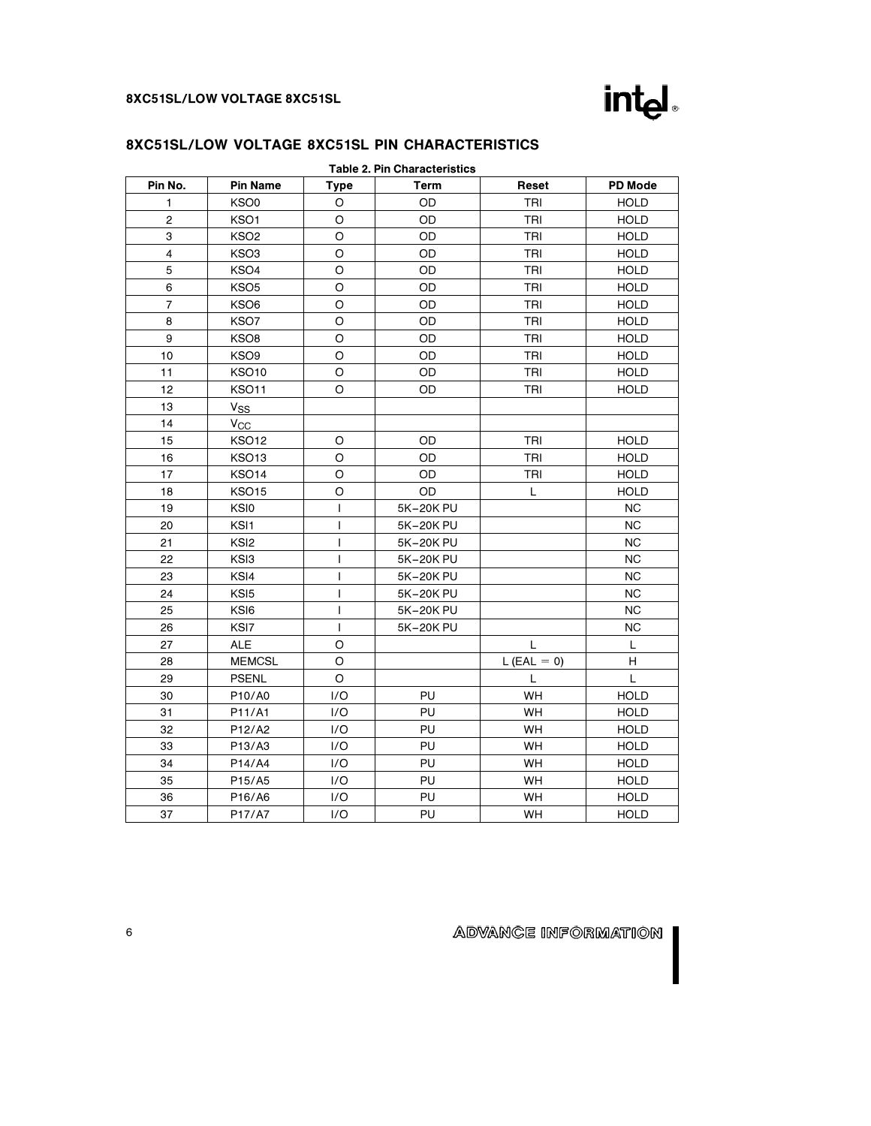

| <b>Table 2. Pin Characteristics</b> |                   |         |           |               |                |  |
|-------------------------------------|-------------------|---------|-----------|---------------|----------------|--|
| Pin No.                             | <b>Pin Name</b>   | Type    | Term      | Reset         | <b>PD Mode</b> |  |
| 1                                   | KSO <sub>0</sub>  | O       | OD        | TRI           | <b>HOLD</b>    |  |
| $\overline{c}$                      | KSO1              | $\circ$ | OD        | TRI           | <b>HOLD</b>    |  |
| 3                                   | KSO <sub>2</sub>  | $\circ$ | OD        | <b>TRI</b>    | <b>HOLD</b>    |  |
| 4                                   | KSO3              | $\circ$ | OD        | TRI           | <b>HOLD</b>    |  |
| 5                                   | KSO4              | $\circ$ | OD        | TRI           | <b>HOLD</b>    |  |
| 6                                   | KSO <sub>5</sub>  | O       | OD        | TRI           | <b>HOLD</b>    |  |
| $\overline{7}$                      | KSO6              | $\circ$ | OD        | TRI           | <b>HOLD</b>    |  |
| 8                                   | KSO7              | O       | OD        | TRI           | <b>HOLD</b>    |  |
| 9                                   | KSO8              | O       | OD        | TRI           | <b>HOLD</b>    |  |
| 10                                  | KSO <sub>9</sub>  | $\circ$ | OD        | TRI           | <b>HOLD</b>    |  |
| 11                                  | <b>KSO10</b>      | O       | OD        | <b>TRI</b>    | <b>HOLD</b>    |  |
| 12                                  | <b>KSO11</b>      | O       | OD        | TRI           | <b>HOLD</b>    |  |
| 13                                  | $V_{SS}$          |         |           |               |                |  |
| 14                                  | $V_{\rm CC}$      |         |           |               |                |  |
| 15                                  | <b>KSO12</b>      | O       | OD        | TRI           | <b>HOLD</b>    |  |
| 16                                  | KSO <sub>13</sub> | $\circ$ | OD        | TRI           | <b>HOLD</b>    |  |
| 17                                  | <b>KSO14</b>      | O       | OD        | TRI           | <b>HOLD</b>    |  |
| 18                                  | <b>KSO15</b>      | O       | <b>OD</b> | L             | <b>HOLD</b>    |  |
| 19                                  | KSI0              | L       | 5K-20K PU |               | NC.            |  |
| 20                                  | KSI1              | I       | 5K-20K PU |               | NC.            |  |
| 21                                  | KS <sub>I2</sub>  | T       | 5K-20K PU |               | <b>NC</b>      |  |
| 22                                  | KS <sub>I3</sub>  | T       | 5K-20K PU |               | <b>NC</b>      |  |
| 23                                  | KSI4              | T       | 5K-20K PU |               | <b>NC</b>      |  |
| 24                                  | KS <sub>I5</sub>  | T       | 5K-20K PU |               | <b>NC</b>      |  |
| 25                                  | KS <sub>I6</sub>  | I       | 5K-20K PU |               | <b>NC</b>      |  |
| 26                                  | KSI7              | L       | 5K-20K PU |               | <b>NC</b>      |  |
| 27                                  | <b>ALE</b>        | $\circ$ |           | L             | L              |  |
| 28                                  | <b>MEMCSL</b>     | $\circ$ |           | $L$ (EAL = 0) | н              |  |
| 29                                  | <b>PSENL</b>      | $\circ$ |           | L             | L              |  |
| 30                                  | P10/A0            | I/O     | PU        | <b>WH</b>     | <b>HOLD</b>    |  |
| 31                                  | P11/A1            | 1/O     | PU        | <b>WH</b>     | <b>HOLD</b>    |  |
| 32                                  | P12/A2            | 1/O     | PU        | <b>WH</b>     | <b>HOLD</b>    |  |
| 33                                  | P13/A3            | I/O     | PU        | WH            | <b>HOLD</b>    |  |
| 34                                  | P14/A4            | I/O     | PU        | WH            | <b>HOLD</b>    |  |
| 35                                  | P15/A5            | 1/O     | PU        | <b>WH</b>     | <b>HOLD</b>    |  |
| 36                                  | P16/A6            | I/O     | PU        | WH            | <b>HOLD</b>    |  |
| 37                                  | P17/A7            | I/O     | PU        | <b>WH</b>     | <b>HOLD</b>    |  |

## ADVANCE INFORMATION

H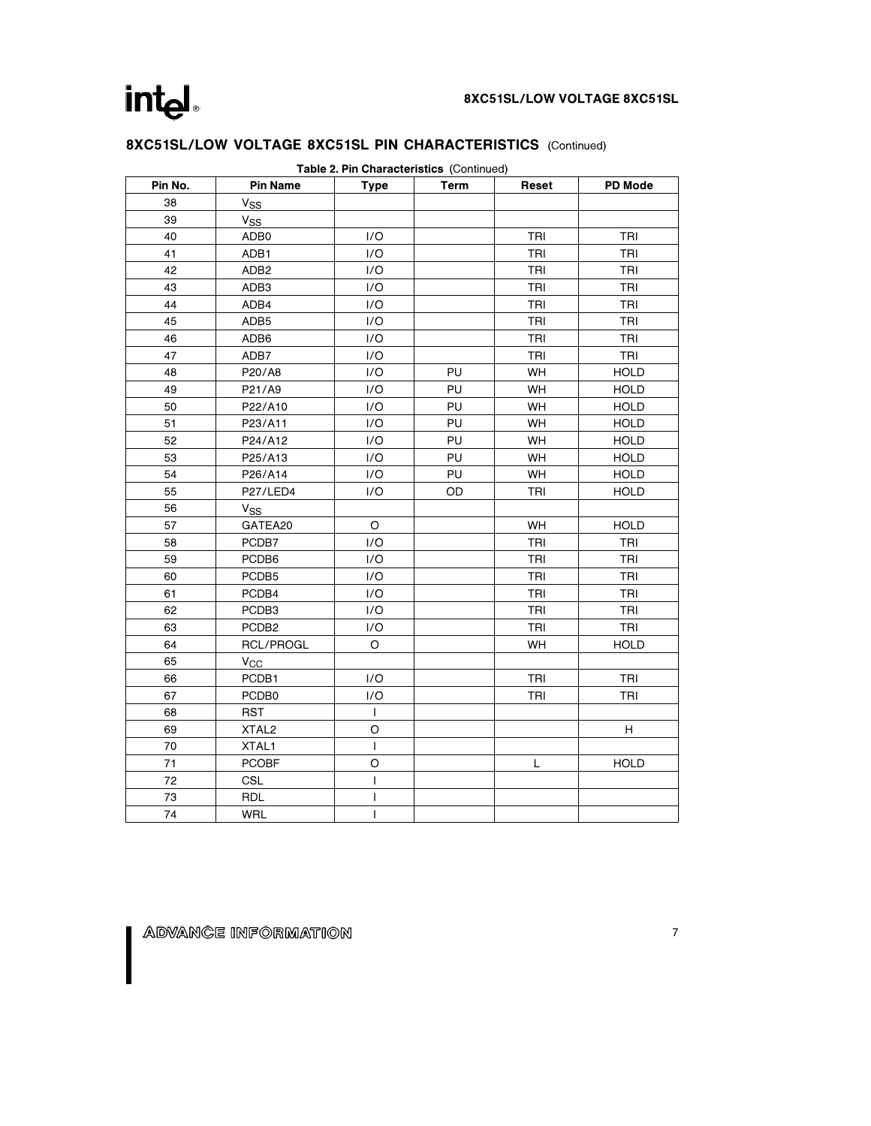| Table 2. Pin Characteristics (Continued) |                       |                |             |       |                |  |  |
|------------------------------------------|-----------------------|----------------|-------------|-------|----------------|--|--|
| Pin No.                                  | <b>Pin Name</b>       | <b>Type</b>    | <b>Term</b> | Reset | <b>PD Mode</b> |  |  |
| 38                                       | V <sub>SS</sub>       |                |             |       |                |  |  |
| 39                                       | <b>V<sub>SS</sub></b> |                |             |       |                |  |  |
| 40                                       | ADB0                  | 1/O            |             | TRI   | TRI            |  |  |
| 41                                       | ADB1                  | 1/O            |             | TRI   | TRI            |  |  |
| 42                                       | ADB <sub>2</sub>      | 1/O            |             | TRI   | TRI            |  |  |
| 43                                       | ADB3                  | I/O            |             | TRI   | TRI            |  |  |
| 44                                       | ADB4                  | I/O            |             | TRI   | TRI            |  |  |
| 45                                       | ADB <sub>5</sub>      | I/O            |             | TRI   | TRI            |  |  |
| 46                                       | ADB6                  | 1/O            |             | TRI   | TRI            |  |  |
| 47                                       | ADB7                  | 1/O            |             | TRI   | TRI            |  |  |
| 48                                       | P20/A8                | I/O            | PU          | WH    | <b>HOLD</b>    |  |  |
| 49                                       | P21/A9                | I/O            | PU          | WH    | <b>HOLD</b>    |  |  |
| 50                                       | P22/A10               | 1/O            | PU          | WH    | <b>HOLD</b>    |  |  |
| 51                                       | P23/A11               | I/O            | PU          | WH    | <b>HOLD</b>    |  |  |
| 52                                       | P24/A12               | 1/O            | PU          | WH    | <b>HOLD</b>    |  |  |
| 53                                       | P25/A13               | I/O            | PU          | WH    | <b>HOLD</b>    |  |  |
| 54                                       | P26/A14               | 1/O            | PU          | WH    | <b>HOLD</b>    |  |  |
| 55                                       | P27/LED4              | 1/O            | OD          | TRI   | <b>HOLD</b>    |  |  |
| 56                                       | $V_{SS}$              |                |             |       |                |  |  |
| 57                                       | GATEA20               | O              |             | WH    | <b>HOLD</b>    |  |  |
| 58                                       | PCDB7                 | 1/O            |             | TRI   | TRI            |  |  |
| 59                                       | PCDB6                 | 1/O            |             | TRI   | TRI            |  |  |
| 60                                       | PCDB5                 | I/O            |             | TRI   | <b>TRI</b>     |  |  |
| 61                                       | PCDB4                 | 1/O            |             | TRI   | TRI            |  |  |
| 62                                       | PCDB3                 | I/O            |             | TRI   | TRI            |  |  |
| 63                                       | PCDB <sub>2</sub>     | I/O            |             | TRI   | <b>TRI</b>     |  |  |
| 64                                       | <b>RCL/PROGL</b>      | O              |             | WH    | <b>HOLD</b>    |  |  |
| 65                                       | $V_{CC}$              |                |             |       |                |  |  |
| 66                                       | PCDB1                 | 1/O            |             | TRI   | TRI            |  |  |
| 67                                       | PCDB0                 | 1/O            |             | TRI   | TRI            |  |  |
| 68                                       | <b>RST</b>            | $\mathbf{I}$   |             |       |                |  |  |
| 69                                       | XTAL <sub>2</sub>     | O              |             |       | H              |  |  |
| 70                                       | XTAL1                 | $\mathbf{I}$   |             |       |                |  |  |
| 71                                       | <b>PCOBF</b>          | O              |             | L     | <b>HOLD</b>    |  |  |
| 72                                       | <b>CSL</b>            | $\mathbf{I}$   |             |       |                |  |  |
| 73                                       | <b>RDL</b>            | I              |             |       |                |  |  |
| 74                                       | <b>WRL</b>            | $\overline{1}$ |             |       |                |  |  |

## 8XC51SL/LOW VOLTAGE 8XC51SL PIN CHARACTERISTICS (Continued)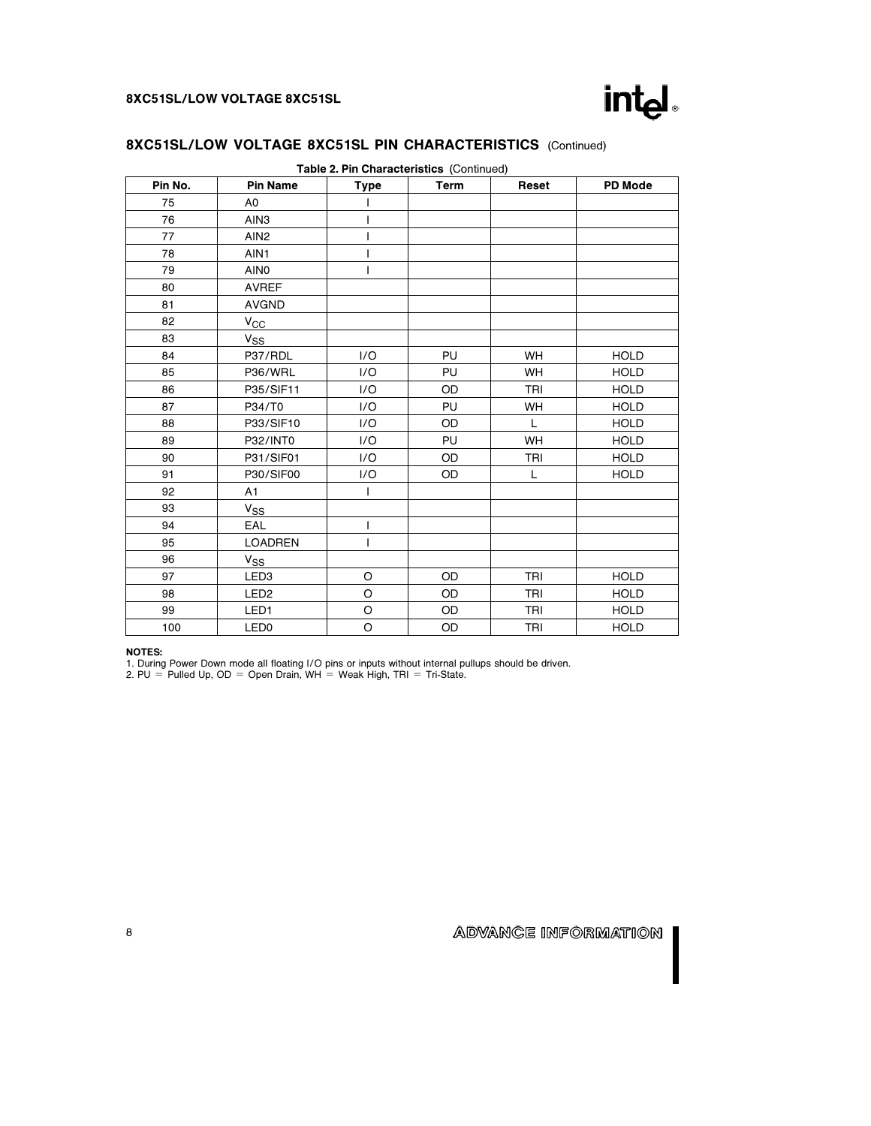

| Pin No. | <b>Pin Name</b>  | <b>Type</b> | <b>Term</b> | Reset     | <b>PD Mode</b> |
|---------|------------------|-------------|-------------|-----------|----------------|
| 75      | A0               |             |             |           |                |
| 76      | AIN3             |             |             |           |                |
| 77      | AIN <sub>2</sub> | T           |             |           |                |
| 78      | AIN1             | ı           |             |           |                |
| 79      | AIN <sub>0</sub> | I           |             |           |                |
| 80      | <b>AVREF</b>     |             |             |           |                |
| 81      | <b>AVGND</b>     |             |             |           |                |
| 82      | $V_{CC}$         |             |             |           |                |
| 83      | $V_{SS}$         |             |             |           |                |
| 84      | P37/RDL          | 1/O         | PU          | <b>WH</b> | <b>HOLD</b>    |
| 85      | P36/WRL          | 1/O         | PU          | <b>WH</b> | <b>HOLD</b>    |
| 86      | P35/SIF11        | 1/O         | OD          | TRI       | <b>HOLD</b>    |
| 87      | P34/T0           | 1/O         | PU          | WH        | <b>HOLD</b>    |
| 88      | P33/SIF10        | 1/O         | <b>OD</b>   | L.        | <b>HOLD</b>    |
| 89      | P32/INT0         | 1/O         | PU          | WH        | <b>HOLD</b>    |
| 90      | P31/SIF01        | 1/O         | OD          | TRI       | <b>HOLD</b>    |
| 91      | P30/SIF00        | 1/O         | <b>OD</b>   | L         | <b>HOLD</b>    |
| 92      | A1               | I           |             |           |                |
| 93      | V <sub>SS</sub>  |             |             |           |                |
| 94      | EAL              | I           |             |           |                |
| 95      | <b>LOADREN</b>   | T           |             |           |                |
| 96      | $V_{SS}$         |             |             |           |                |
| 97      | LED <sub>3</sub> | O           | OD          | TRI       | <b>HOLD</b>    |
| 98      | LED <sub>2</sub> | $\circ$     | OD          | TRI       | <b>HOLD</b>    |
| 99      | LED <sub>1</sub> | $\circ$     | <b>OD</b>   | TRI       | <b>HOLD</b>    |
| 100     | LED <sub>0</sub> | O           | OD          | TRI       | <b>HOLD</b>    |

## 8XC51SL/LOW VOLTAGE 8XC51SL PIN CHARACTERISTICS (Continued)

#### NOTES:

1. During Power Down mode all floating I/O pins or inputs without internal pullups should be driven. 2. PU e Pulled Up, OD e Open Drain, WH e Weak High, TRI e Tri-State.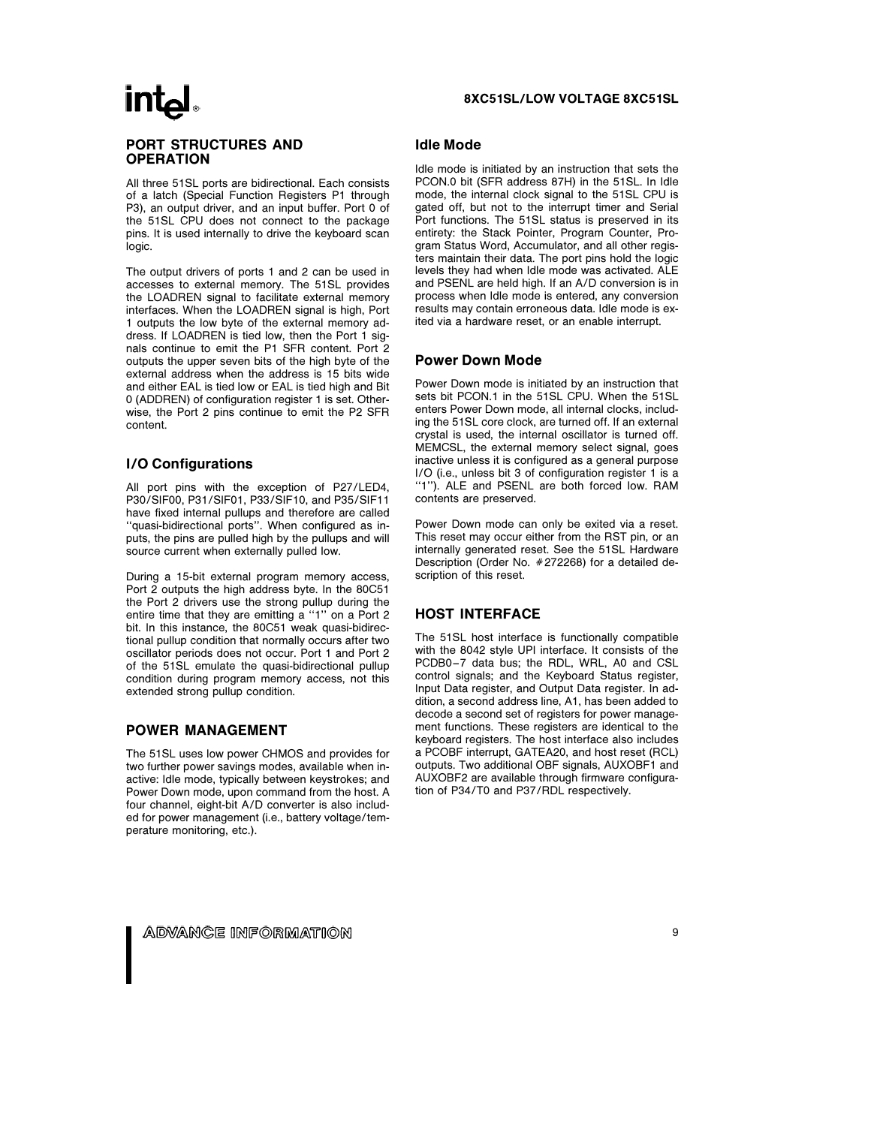## intal

#### PORT STRUCTURES AND **OPERATION**

All three 51SL ports are bidirectional. Each consists of a latch (Special Function Registers P1 through P3), an output driver, and an input buffer. Port 0 of the 51SL CPU does not connect to the package pins. It is used internally to drive the keyboard scan logic.

The output drivers of ports 1 and 2 can be used in accesses to external memory. The 51SL provides the LOADREN signal to facilitate external memory interfaces. When the LOADREN signal is high, Port 1 outputs the low byte of the external memory address. If LOADREN is tied low, then the Port 1 signals continue to emit the P1 SFR content. Port 2 outputs the upper seven bits of the high byte of the external address when the address is 15 bits wide and either EAL is tied low or EAL is tied high and Bit 0 (ADDREN) of configuration register 1 is set. Otherwise, the Port 2 pins continue to emit the P2 SFR content.

#### I/O Configurations

All port pins with the exception of P27/LED4, P30/SIF00, P31/SIF01, P33/SIF10, and P35/SIF11 have fixed internal pullups and therefore are called ''quasi-bidirectional ports''. When configured as inputs, the pins are pulled high by the pullups and will source current when externally pulled low.

During a 15-bit external program memory access, Port 2 outputs the high address byte. In the 80C51 the Port 2 drivers use the strong pullup during the entire time that they are emitting a ''1'' on a Port 2 bit. In this instance, the 80C51 weak quasi-bidirectional pullup condition that normally occurs after two oscillator periods does not occur. Port 1 and Port 2 of the 51SL emulate the quasi-bidirectional pullup condition during program memory access, not this extended strong pullup condition.

#### POWER MANAGEMENT

The 51SL uses low power CHMOS and provides for two further power savings modes, available when inactive: Idle mode, typically between keystrokes; and Power Down mode, upon command from the host. A four channel, eight-bit A/D converter is also included for power management (i.e., battery voltage/temperature monitoring, etc.).

#### 8XC51SL/LOW VOLTAGE 8XC51SL

#### Idle Mode

Idle mode is initiated by an instruction that sets the PCON.0 bit (SFR address 87H) in the 51SL. In Idle mode, the internal clock signal to the 51SL CPU is gated off, but not to the interrupt timer and Serial Port functions. The 51SL status is preserved in its entirety: the Stack Pointer, Program Counter, Program Status Word, Accumulator, and all other registers maintain their data. The port pins hold the logic levels they had when Idle mode was activated. ALE and PSENL are held high. If an A/D conversion is in process when Idle mode is entered, any conversion results may contain erroneous data. Idle mode is exited via a hardware reset, or an enable interrupt.

#### Power Down Mode

Power Down mode is initiated by an instruction that sets bit PCON.1 in the 51SL CPU. When the 51SL enters Power Down mode, all internal clocks, including the 51SL core clock, are turned off. If an external crystal is used, the internal oscillator is turned off. MEMCSL, the external memory select signal, goes inactive unless it is configured as a general purpose I/O (i.e., unless bit 3 of configuration register 1 is a ''1''). ALE and PSENL are both forced low. RAM contents are preserved.

Power Down mode can only be exited via a reset. This reset may occur either from the RST pin, or an internally generated reset. See the 51SL Hardware Description (Order No. #272268) for a detailed description of this reset.

#### HOST INTERFACE

The 51SL host interface is functionally compatible with the 8042 style UPI interface. It consists of the PCDB0-7 data bus; the RDL, WRL, A0 and CSL control signals; and the Keyboard Status register, Input Data register, and Output Data register. In addition, a second address line, A1, has been added to decode a second set of registers for power management functions. These registers are identical to the keyboard registers. The host interface also includes a PCOBF interrupt, GATEA20, and host reset (RCL) outputs. Two additional OBF signals, AUXOBF1 and AUXOBF2 are available through firmware configuration of P34/T0 and P37/RDL respectively.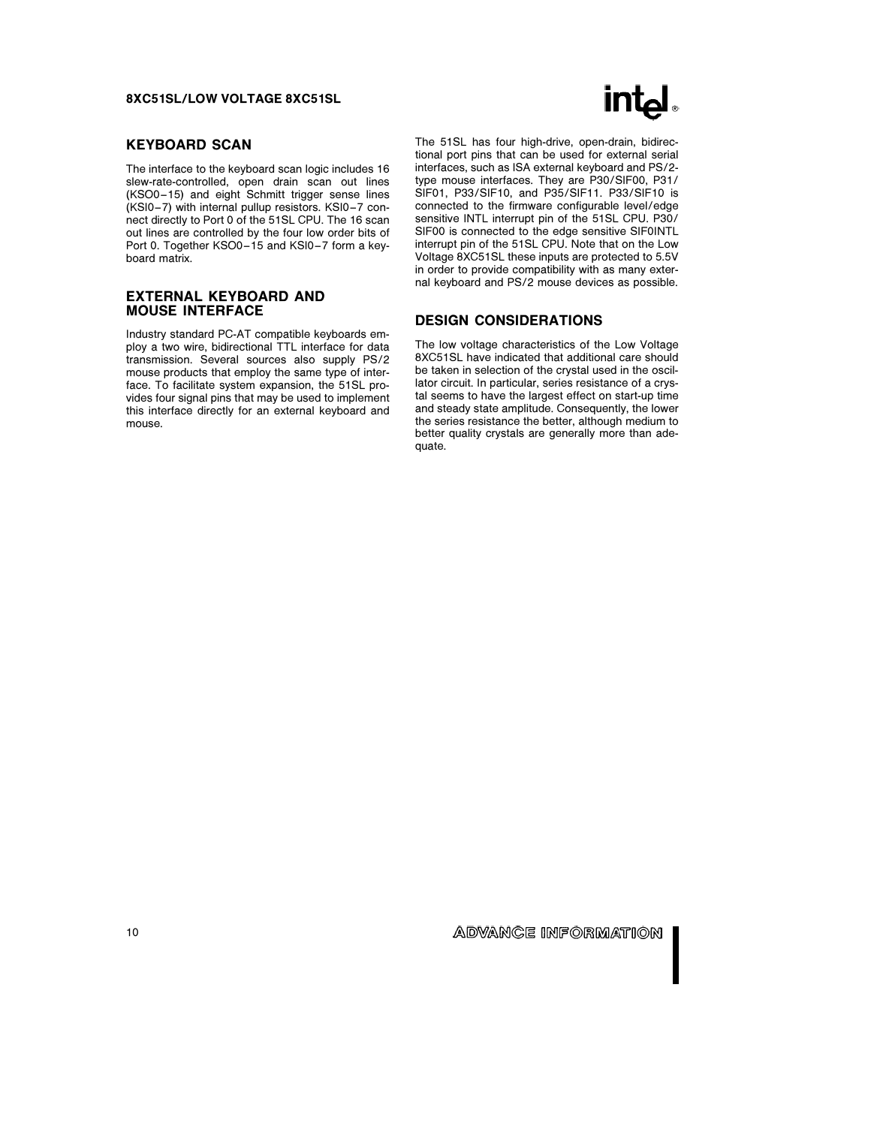#### KEYBOARD SCAN

The interface to the keyboard scan logic includes 16 slew-rate-controlled, open drain scan out lines (KSO0-15) and eight Schmitt trigger sense lines (KSI0 –7) with internal pullup resistors. KSI0 –7 connect directly to Port 0 of the 51SL CPU. The 16 scan out lines are controlled by the four low order bits of Port 0. Together KSO0-15 and KSI0-7 form a keyboard matrix.

#### EXTERNAL KEYBOARD AND MOUSE INTERFACE

Industry standard PC-AT compatible keyboards employ a two wire, bidirectional TTL interface for data transmission. Several sources also supply PS/2 mouse products that employ the same type of interface. To facilitate system expansion, the 51SL provides four signal pins that may be used to implement this interface directly for an external keyboard and mouse.



The 51SL has four high-drive, open-drain, bidirectional port pins that can be used for external serial interfaces, such as ISA external keyboard and PS/2 type mouse interfaces. They are P30/SIF00, P31/ SIF01, P33/SIF10, and P35/SIF11. P33/SIF10 is connected to the firmware configurable level/edge sensitive INTL interrupt pin of the 51SL CPU. P30/ SIF00 is connected to the edge sensitive SIF0INTL interrupt pin of the 51SL CPU. Note that on the Low Voltage 8XC51SL these inputs are protected to 5.5V in order to provide compatibility with as many external keyboard and PS/2 mouse devices as possible.

#### DESIGN CONSIDERATIONS

The low voltage characteristics of the Low Voltage 8XC51SL have indicated that additional care should be taken in selection of the crystal used in the oscillator circuit. In particular, series resistance of a crystal seems to have the largest effect on start-up time and steady state amplitude. Consequently, the lower the series resistance the better, although medium to better quality crystals are generally more than adequate.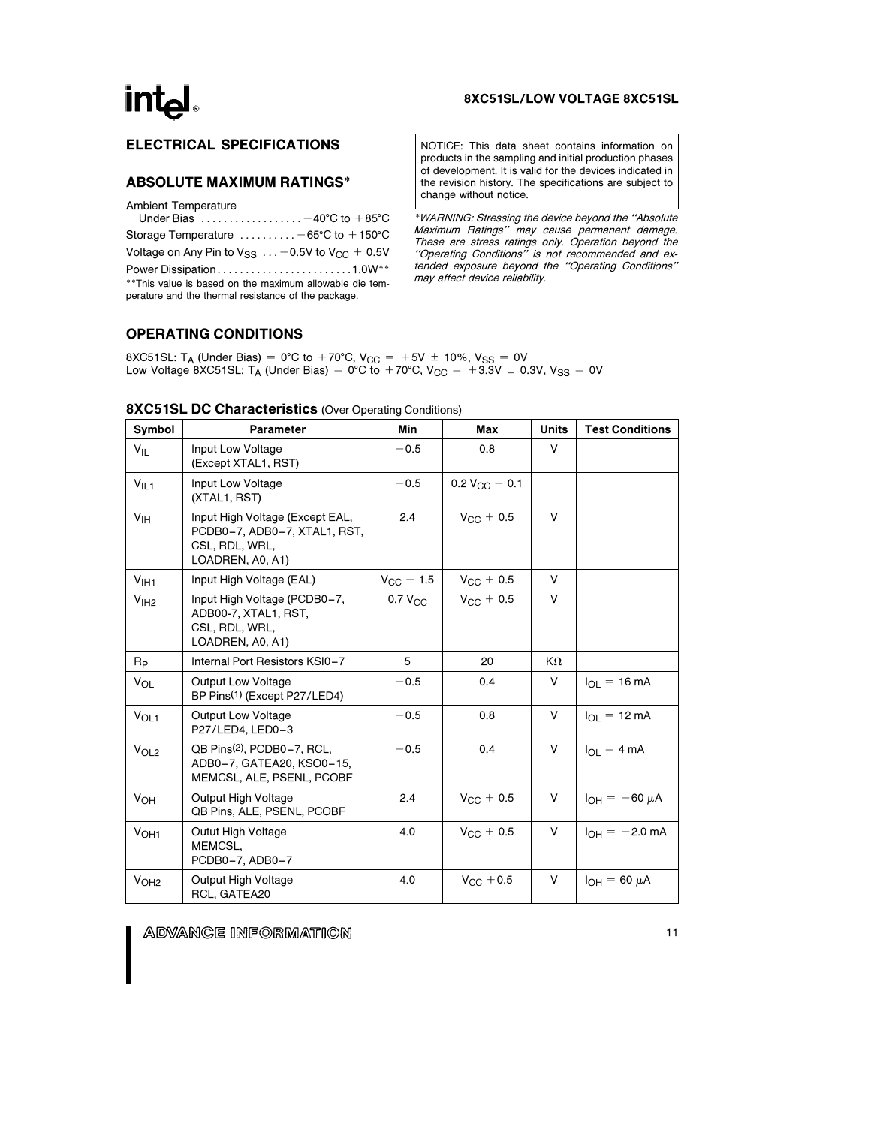#### 8XC51SL/LOW VOLTAGE 8XC51SL

## ELECTRICAL SPECIFICATIONS

#### ABSOLUTE MAXIMUM RATINGS\*

Ambient Temperature

| Under Bias $\ldots \ldots \ldots \ldots \ldots -40^{\circ}C$ to $+85^{\circ}C$                                  |
|-----------------------------------------------------------------------------------------------------------------|
| Storage Temperature $\dots\dots\dots -65$ °C to $+150$ °C                                                       |
| Voltage on Any Pin to $V_{SS}$ -0.5V to $V_{CC}$ + 0.5V                                                         |
| Power Dissipation1.0W**                                                                                         |
| ** This value is based on the maximum allowable die tem-<br>perature and the thermal resistance of the package. |

NOTICE: This data sheet contains information on products in the sampling and initial production phases of development. It is valid for the devices indicated in the revision history. The specifications are subject to change without notice.

\*WARNING: Stressing the device beyond the ''Absolute Maximum Ratings'' may cause permanent damage. These are stress ratings only. Operation beyond the ''Operating Conditions'' is not recommended and extended exposure beyond the ''Operating Conditions'' may affect device reliability.

#### OPERATING CONDITIONS

8XC51SL: T<sub>A</sub> (Under Bias) = 0°C to +70°C, V<sub>CC</sub> = +5V  $\pm$  10%, V<sub>SS</sub> = 0V Low Voltage 8XC51SL: T<sub>A</sub> (Under Bias) = 0°C to +70°C, V<sub>CC</sub> = +3.3V  $\pm$  0.3V, V<sub>SS</sub> = 0V

| Symbol           | <b>Parameter</b>                                                                                      | Min                 | Max                   | <b>Units</b> | <b>Test Conditions</b>         |
|------------------|-------------------------------------------------------------------------------------------------------|---------------------|-----------------------|--------------|--------------------------------|
| $V_{IL}$         | Input Low Voltage<br>(Except XTAL1, RST)                                                              | $-0.5$              | 0.8                   | V            |                                |
| $V_{ L1}$        | Input Low Voltage<br>(XTAL1, RST)                                                                     | $-0.5$              | $0.2 V_{C} - 0.1$     |              |                                |
| V <sub>IH</sub>  | Input High Voltage (Except EAL,<br>PCDB0-7, ADB0-7, XTAL1, RST,<br>CSL, RDL, WRL,<br>LOADREN, A0, A1) | 2.4                 | $V_{C}$ + 0.5         | V            |                                |
| V <sub>HH1</sub> | Input High Voltage (EAL)                                                                              | $V_{\rm CC}$ – 1.5  | $V_{CC}$ + 0.5        | V            |                                |
| V <sub>1H2</sub> | Input High Voltage (PCDB0-7,<br>ADB00-7, XTAL1, RST,<br>CSL, RDL, WRL,<br>LOADREN, A0, A1)            | 0.7 V <sub>CC</sub> | $V_{\text{CC}} + 0.5$ | V            |                                |
| Rp               | Internal Port Resistors KSI0-7                                                                        | 5                   | 20                    | KΩ           |                                |
| $V_{OL}$         | <b>Output Low Voltage</b><br>BP Pins <sup>(1)</sup> (Except P27/LED4)                                 | $-0.5$              | 0.4                   | V            | $I_{OL} = 16 \text{ mA}$       |
| V <sub>OL1</sub> | <b>Output Low Voltage</b><br>P27/LED4, LED0-3                                                         | $-0.5$              | 0.8                   | V            | $I_{\Omega I} = 12 \text{ mA}$ |
| V <sub>OL2</sub> | QB Pins <sup>(2)</sup> , PCDB0-7, RCL,<br>ADB0-7, GATEA20, KSO0-15,<br>MEMCSL, ALE, PSENL, PCOBF      | $-0.5$              | 0.4                   | V            | $I_{OL} = 4 mA$                |
| VOH              | <b>Output High Voltage</b><br>QB Pins, ALE, PSENL, PCOBF                                              | 2.4                 | $V_{\rm CC}$ + 0.5    | V            | $I_{OH} = -60 \mu A$           |
| V <sub>OH1</sub> | Outut High Voltage<br>MEMCSL,<br>PCDB0-7, ADB0-7                                                      | 4.0                 | $V_{CC}$ + 0.5        | V            | $I_{OH} = -2.0$ mA             |
| V <sub>OH2</sub> | Output High Voltage<br>RCL, GATEA20                                                                   | 4.0                 | $V_{\rm CC}$ + 0.5    | V            | $I_{OH} = 60 \mu A$            |

### 8XC51SL DC Characteristics (Over Operating Conditions)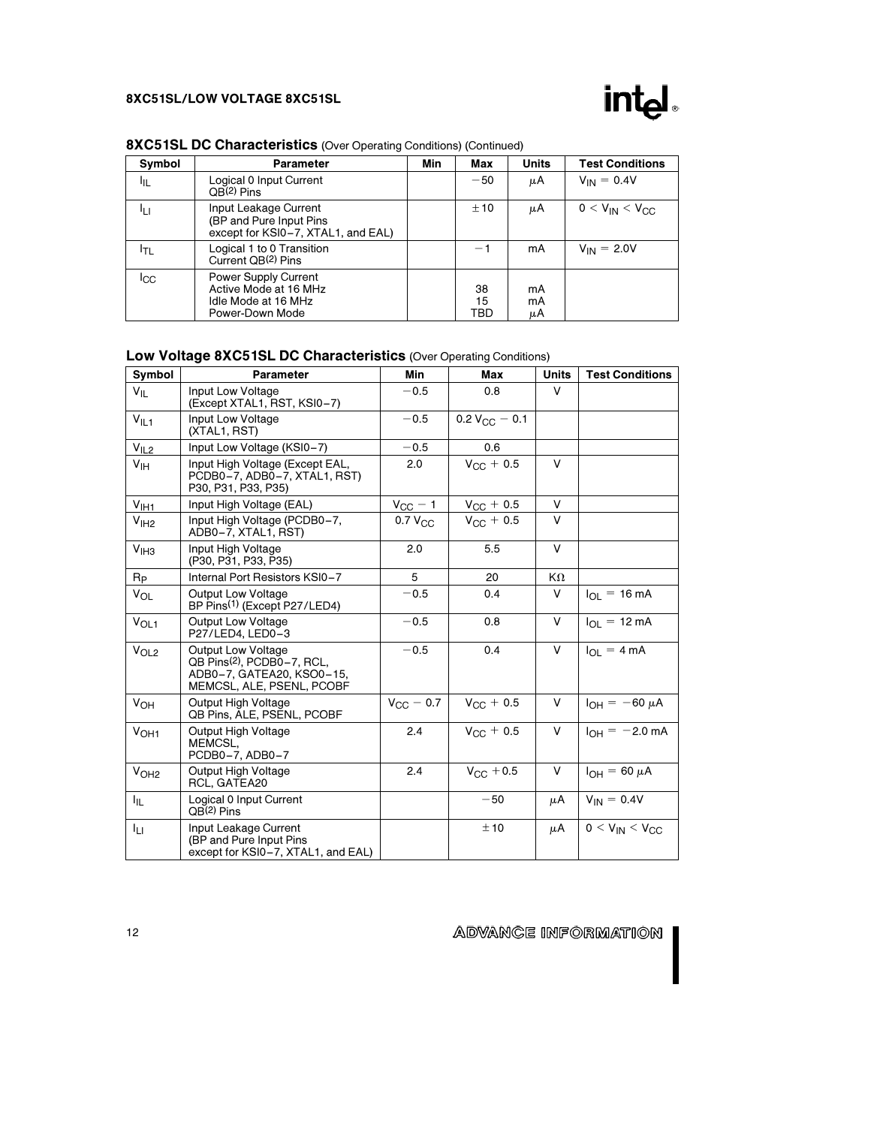

| ---------- |                                                   |     |       |       |                        |  |  |  |
|------------|---------------------------------------------------|-----|-------|-------|------------------------|--|--|--|
| Symbol     | <b>Parameter</b>                                  | Min | Max   | Units | <b>Test Conditions</b> |  |  |  |
| 址          | Logical 0 Input Current<br>OB <sup>(2)</sup> Pins |     | $-50$ | μA    | $V_{IN} = 0.4V$        |  |  |  |
|            | .                                                 |     |       |       | .<br>.                 |  |  |  |

## 8XC51SL DC Characteristics (Over Operating Conditions) (Continued)

| ЧL   | Lugical o filiput ourfeilt<br>OB <sup>(2)</sup> Pins                                           | ັບ              | $\mu$ n        | $V_{\rm IN} - V + V$ |
|------|------------------------------------------------------------------------------------------------|-----------------|----------------|----------------------|
|      | Input Leakage Current<br>(BP and Pure Input Pins<br>except for KSI0-7, XTAL1, and EAL)         | ±10             | μA             | $0 < V_{IN} < V_{C}$ |
| ידו. | Logical 1 to 0 Transition<br>Current QB <sup>(2)</sup> Pins                                    | — 1             | mA             | $V_{IN} = 2.0V$      |
| ICC  | <b>Power Supply Current</b><br>Active Mode at 16 MHz<br>Idle Mode at 16 MHz<br>Power-Down Mode | 38<br>15<br>TBD | mA<br>mA<br>μA |                      |

## Low Voltage 8XC51SL DC Characteristics (Over Operating Conditions)

| Symbol                | Parameter                                                                                                                     | Min                 | Max                | <b>Units</b> | <b>Test Conditions</b>         |
|-----------------------|-------------------------------------------------------------------------------------------------------------------------------|---------------------|--------------------|--------------|--------------------------------|
| $V_{IL}$              | Input Low Voltage<br>(Except XTAL1, RST, KSI0-7)                                                                              | $-0.5$              | 0.8                | V            |                                |
| $V_{\parallel L1}$    | Input Low Voltage<br>(XTAL1, RST)                                                                                             | $-0.5$              | $0.2 V_{CC} - 0.1$ |              |                                |
| $V_{112}$             | Input Low Voltage (KSI0-7)                                                                                                    | $-0.5$              | 0.6                |              |                                |
| V <sub>IH</sub>       | Input High Voltage (Except EAL,<br>PCDB0-7, ADB0-7, XTAL1, RST)<br>P30, P31, P33, P35)                                        | 2.0                 | $V_{\rm CC}$ + 0.5 | V            |                                |
| $V_{l+1}$             | Input High Voltage (EAL)                                                                                                      | $V_{CC}$ – 1        | $V_{CC}$ + 0.5     | V            |                                |
| V <sub>IH2</sub>      | Input High Voltage (PCDB0-7,<br>ADB0-7, XTAL1, RST)                                                                           | 0.7 V <sub>CC</sub> | $V_{\rm GC} + 0.5$ | V            |                                |
| V <sub>IH3</sub>      | Input High Voltage<br>(P30, P31, P33, P35)                                                                                    | 2.0                 | 5.5                | V            |                                |
| $R_{P}$               | Internal Port Resistors KSI0-7                                                                                                | 5                   | 20                 | KΩ           |                                |
| VOL                   | <b>Output Low Voltage</b><br>BP Pins <sup>(1)</sup> (Except P27/LED4)                                                         | $-0.5$              | 0.4                | V            | $I_{\Omega I} = 16 \text{ mA}$ |
| V <sub>OL1</sub>      | <b>Output Low Voltage</b><br>P27/LED4, LED0-3                                                                                 | $-0.5$              | 0.8                | V            | $I_{\Omega I} = 12 \text{ mA}$ |
| V <sub>OL2</sub>      | <b>Output Low Voltage</b><br>QB Pins <sup>(2)</sup> , PCDB0-7, RCL,<br>ADB0-7, GATEA20, KSO0-15,<br>MEMCSL, ALE, PSENL, PCOBF | $-0.5$              | 0.4                | V            | $I_{OL} = 4 mA$                |
| $V_{OH}$              | Output High Voltage<br>QB Pins, ALE, PSENL, PCOBF                                                                             | $V_{\rm CC}$ – 0.7  | $V_{C}$ + 0.5      | V            | $I_{OH} = -60 \mu A$           |
| V <sub>OH1</sub>      | Output High Voltage<br>MEMCSL,<br>PCDB0-7, ADB0-7                                                                             | 2.4                 | $V_{\rm CC} + 0.5$ | V            | $I_{OH} = -2.0$ mA             |
| V <sub>OH2</sub>      | Output High Voltage<br>RCL, GATEA20                                                                                           | 2.4                 | $V_{CC}$ + 0.5     | V            | $I_{OH} = 60 \mu A$            |
| <b>I<sub>IL</sub></b> | Logical 0 Input Current<br>QB <sup>(2)</sup> Pins                                                                             |                     | $-50$              | μA           | $V_{IN} = 0.4V$                |
| Ιu                    | Input Leakage Current<br>(BP and Pure Input Pins<br>except for KSI0-7, XTAL1, and EAL)                                        |                     | ±10                | μA           | $0 < V_{IN} < V_{CC}$          |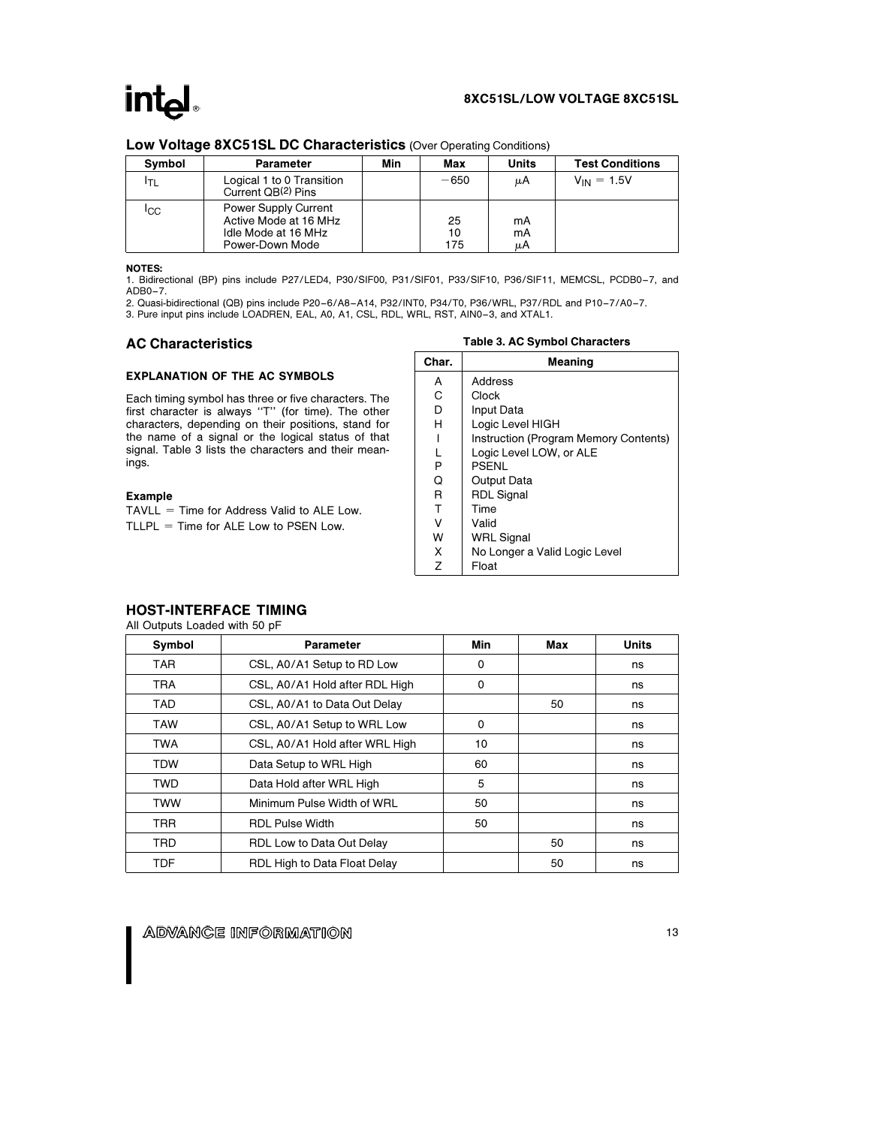#### 8XC51SL/LOW VOLTAGE 8XC51SL

| Symbol          | <b>Parameter</b>                                                                               | Min | Max             | Units          | <b>Test Conditions</b> |
|-----------------|------------------------------------------------------------------------------------------------|-----|-----------------|----------------|------------------------|
| ודו.            | Logical 1 to 0 Transition<br>Current QB(2) Pins                                                |     | $-650$          | μA             | $V_{IN} = 1.5V$        |
| <sup>I</sup> CC | <b>Power Supply Current</b><br>Active Mode at 16 MHz<br>Idle Mode at 16 MHz<br>Power-Down Mode |     | 25<br>10<br>175 | mA<br>mA<br>μA |                        |

#### Low Voltage 8XC51SL DC Characteristics (Over Operating Conditions)

NOTES:

1. Bidirectional (BP) pins include P27/LED4, P30/SIF00, P31/SIF01, P33/SIF10, P36/SIF11, MEMCSL, PCDB0 –7, and ADB0 –7.

2. Quasi-bidirectional (QB) pins include P20 –6/A8 –A14, P32/INT0, P34/T0, P36/WRL, P37/RDL and P10 –7/A0 –7.

3. Pure input pins include LOADREN, EAL, A0, A1, CSL, RDL, WRL, RST, AIN0 –3, and XTAL1.

#### AC Characteristics

#### EXPLANATION OF THE AC SYMBOLS

Each timing symbol has three or five characters. The first character is always ''T'' (for time). The other characters, depending on their positions, stand for the name of a signal or the logical status of that signal. Table 3 lists the characters and their meanings.

#### Example

 $TAVLL = Time$  for Address Valid to ALE Low.  $TLLPL = Time$  for ALE Low to PSEN Low.

|  |  | Table 3. AC Symbol Characters |
|--|--|-------------------------------|
|--|--|-------------------------------|

| Char. | Meaning                               |
|-------|---------------------------------------|
| A     | Address                               |
| C     | Clock                                 |
| D     | Input Data                            |
| н     | Logic Level HIGH                      |
|       | Instruction (Program Memory Contents) |
|       | Logic Level LOW, or ALE               |
| P     | <b>PSENL</b>                          |
| Q     | Output Data                           |
| R     | <b>RDL Signal</b>                     |
| т     | Time                                  |
| v     | Valid                                 |
| w     | <b>WRL Signal</b>                     |
| X     | No Longer a Valid Logic Level         |
| 7     | Float                                 |

### HOST-INTERFACE TIMING

All Outputs Loaded with 50 pF

| Symbol     | <b>Parameter</b>               | Min | Max | Units |
|------------|--------------------------------|-----|-----|-------|
| <b>TAR</b> | CSL, A0/A1 Setup to RD Low     | 0   |     | ns    |
| <b>TRA</b> | CSL, A0/A1 Hold after RDL High | 0   |     | ns    |
| TAD        | CSL, A0/A1 to Data Out Delay   |     | 50  | ns    |
| TAW        | CSL, A0/A1 Setup to WRL Low    | 0   |     | ns    |
| TWA        | CSL, A0/A1 Hold after WRL High | 10  |     | ns    |
| <b>TDW</b> | Data Setup to WRL High         | 60  |     | ns    |
| TWD        | Data Hold after WRL High       | 5   |     | ns    |
| TWW        | Minimum Pulse Width of WRL     | 50  |     | ns    |
| <b>TRR</b> | <b>RDL Pulse Width</b>         | 50  |     | ns    |
| TRD        | RDL Low to Data Out Delay      |     | 50  | ns    |
| <b>TDF</b> | RDL High to Data Float Delay   |     | 50  | ns    |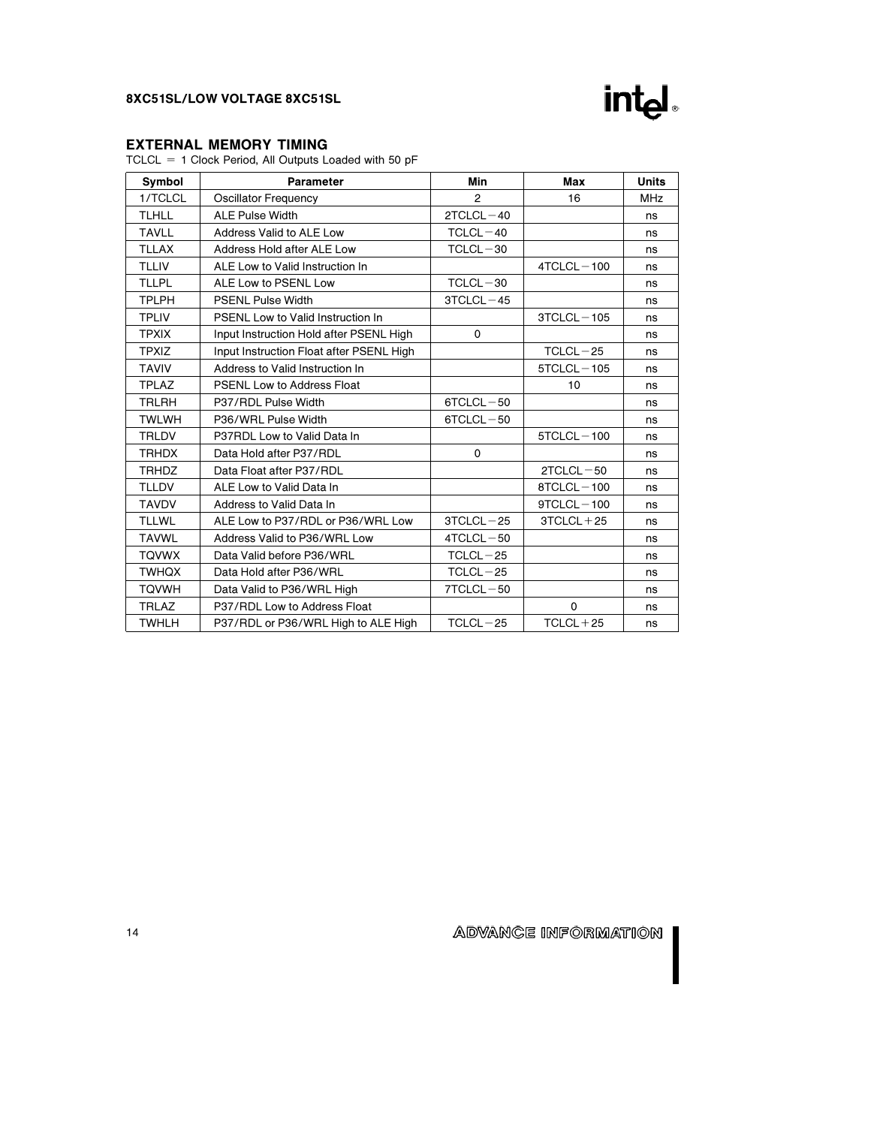

### EXTERNAL MEMORY TIMING

 $TCLCL = 1$  Clock Period, All Outputs Loaded with 50 pF

| Symbol       | Parameter                                | Min           | Max            | <b>Units</b> |
|--------------|------------------------------------------|---------------|----------------|--------------|
| 1/TCLCL      | <b>Oscillator Frequency</b>              | 2             | 16             | <b>MHz</b>   |
| <b>TLHLL</b> | <b>ALE Pulse Width</b>                   | $2TCLCL - 40$ |                | ns           |
| <b>TAVLL</b> | Address Valid to ALE Low                 | $TCLCL - 40$  |                | ns           |
| <b>TLLAX</b> | Address Hold after ALE Low               | $TCLCL - 30$  |                | ns           |
| <b>TLLIV</b> | ALE Low to Valid Instruction In          |               | $4TCLCL - 100$ | ns           |
| <b>TLLPL</b> | ALE Low to PSENL Low                     | $TCLCL - 30$  |                | ns           |
| <b>TPLPH</b> | <b>PSENL Pulse Width</b>                 | $3TCLCL - 45$ |                | ns           |
| <b>TPLIV</b> | PSENL Low to Valid Instruction In        |               | $3TCLCL - 105$ | ns           |
| <b>TPXIX</b> | Input Instruction Hold after PSENL High  | $\Omega$      |                | ns           |
| <b>TPXIZ</b> | Input Instruction Float after PSENL High |               | $TCLCL - 25$   | ns           |
| <b>TAVIV</b> | Address to Valid Instruction In          |               | $5TCLCL - 105$ | ns           |
| <b>TPLAZ</b> | <b>PSENL Low to Address Float</b>        |               | 10             | ns           |
| <b>TRLRH</b> | P37/RDL Pulse Width                      | $6TCLCL - 50$ |                | ns           |
| <b>TWLWH</b> | P36/WRL Pulse Width                      | $6TCLCL - 50$ |                | ns           |
| <b>TRLDV</b> | P37RDL Low to Valid Data In              |               | $5TCLCL - 100$ | ns           |
| <b>TRHDX</b> | Data Hold after P37/RDL                  | $\mathbf 0$   |                | ns           |
| <b>TRHDZ</b> | Data Float after P37/RDL                 |               | $2TCLCL - 50$  | ns           |
| <b>TLLDV</b> | ALE Low to Valid Data In                 |               | $8TCLCL - 100$ | ns           |
| <b>TAVDV</b> | Address to Valid Data In                 |               | $9TCLCL - 100$ | ns           |
| <b>TLLWL</b> | ALE Low to P37/RDL or P36/WRL Low        | $3TCLCL - 25$ | $3TCLCL + 25$  | ns           |
| <b>TAVWL</b> | Address Valid to P36/WRL Low             | $4TCLCL - 50$ |                | ns           |
| <b>TQVWX</b> | Data Valid before P36/WRL                | $TCLCL - 25$  |                | ns           |
| <b>TWHQX</b> | Data Hold after P36/WRL                  | $TCLCL - 25$  |                | ns           |
| <b>TQVWH</b> | Data Valid to P36/WRL High               | $7TCLCL - 50$ |                | ns           |
| <b>TRLAZ</b> | P37/RDL Low to Address Float             |               | $\mathbf 0$    | ns           |
| <b>TWHLH</b> | P37/RDL or P36/WRL High to ALE High      | $TCLCL-25$    | $TCLCL + 25$   | ns           |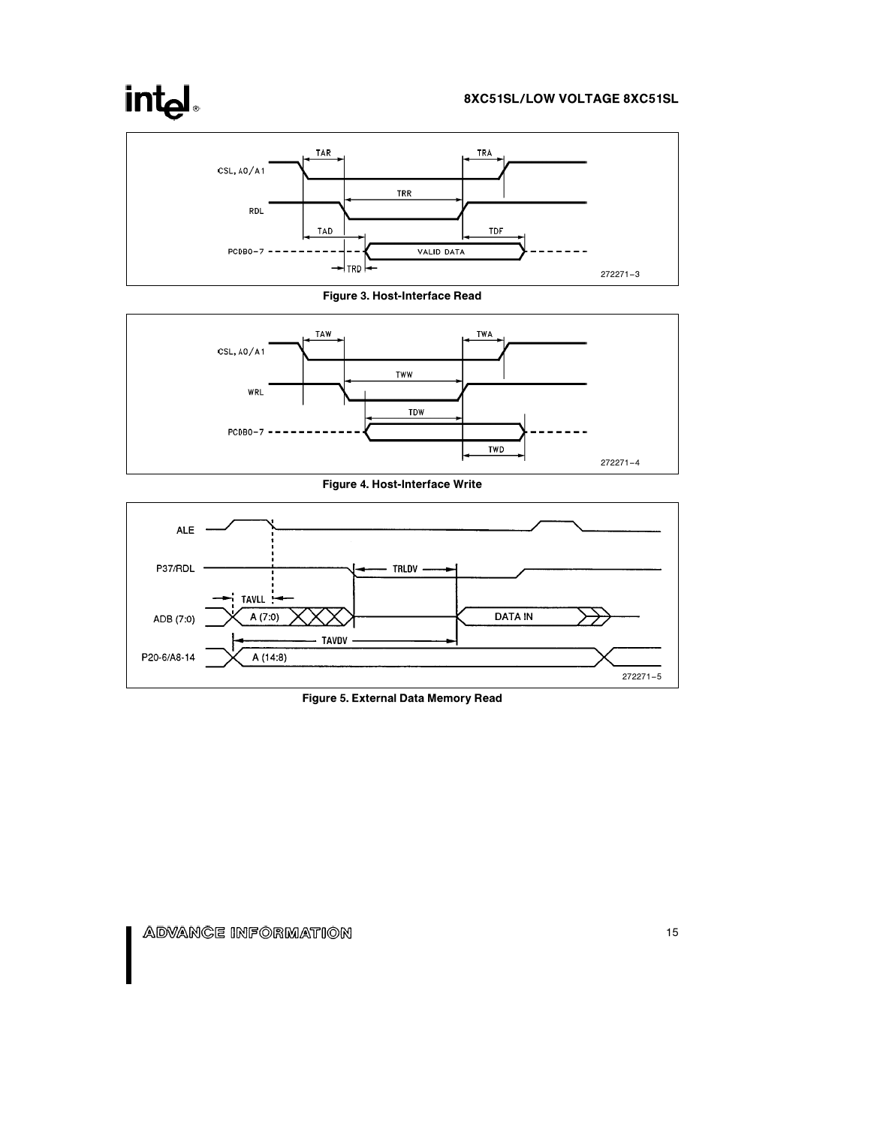# intel.







Figure 4. Host-Interface Write



Figure 5. External Data Memory Read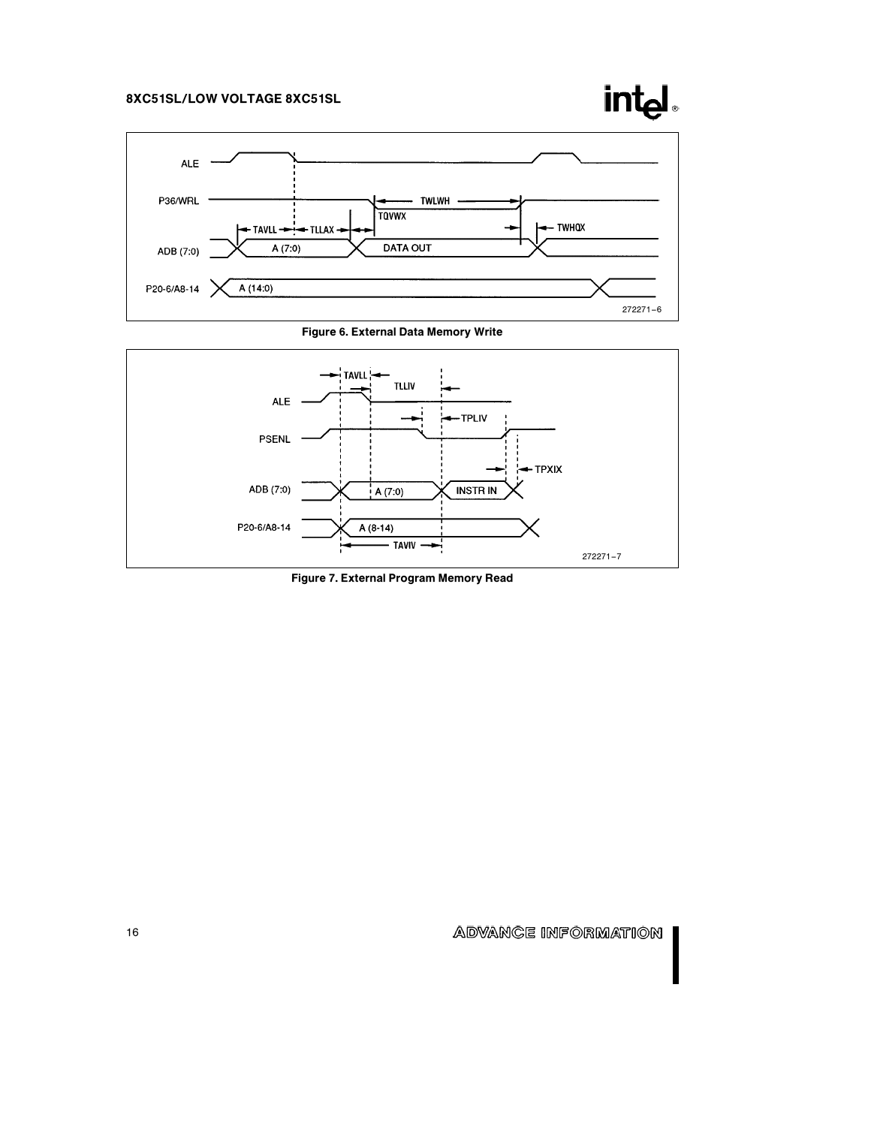







Figure 7. External Program Memory Read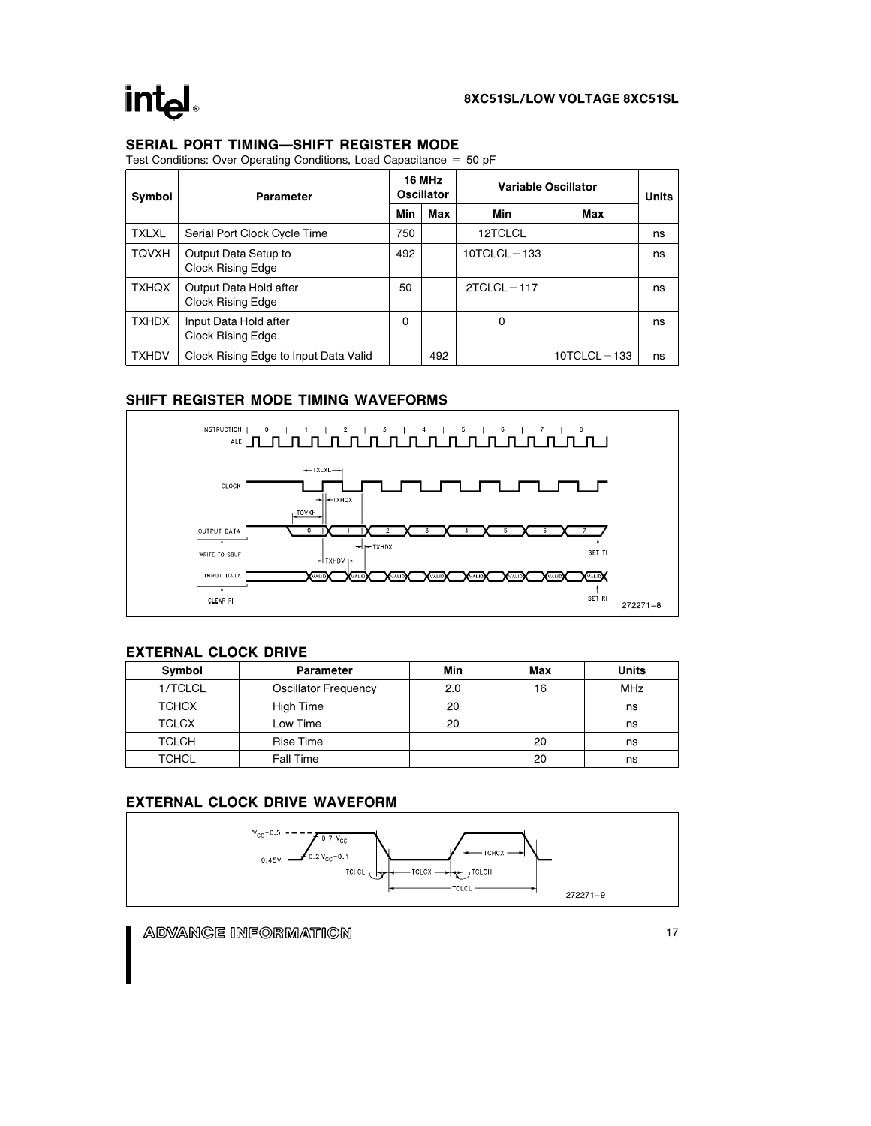### SERIAL PORT TIMING-SHIFT REGISTER MODE

Test Conditions: Over Operating Conditions, Load Capacitance  $= 50$  pF

| Symbol       | Parameter                                          |     | 16 MHz<br><b>Oscillator</b> | <b>Variable Oscillator</b> | Units           |    |
|--------------|----------------------------------------------------|-----|-----------------------------|----------------------------|-----------------|----|
|              |                                                    | Min | Max                         | Min                        | Max             |    |
| <b>TXLXL</b> | Serial Port Clock Cycle Time                       | 750 |                             | 12TCLCL                    |                 | ns |
| <b>TQVXH</b> | Output Data Setup to<br>Clock Rising Edge          | 492 |                             | $10TCLCL - 133$            |                 | ns |
| <b>TXHQX</b> | Output Data Hold after<br><b>Clock Rising Edge</b> | 50  |                             | $2TCLCL - 117$             |                 | ns |
| <b>TXHDX</b> | Input Data Hold after<br>Clock Rising Edge         | 0   |                             | 0                          |                 | ns |
| <b>TXHDV</b> | Clock Rising Edge to Input Data Valid              |     | 492                         |                            | $10TCLCL - 133$ | ns |

### SHIFT REGISTER MODE TIMING WAVEFORMS



### EXTERNAL CLOCK DRIVE

| Symbol       | <b>Parameter</b>     | Min | Max | Units      |
|--------------|----------------------|-----|-----|------------|
| 1/TCLCL      | Oscillator Frequency | 2.0 | 16  | <b>MHz</b> |
| <b>TCHCX</b> | High Time            | 20  |     | ns         |
| <b>TCLCX</b> | Low Time             | 20  |     | ns         |
| <b>TCLCH</b> | Rise Time            |     | 20  | ns         |
| <b>TCHCL</b> | <b>Fall Time</b>     |     | 20  | ns         |

## EXTERNAL CLOCK DRIVE WAVEFORM

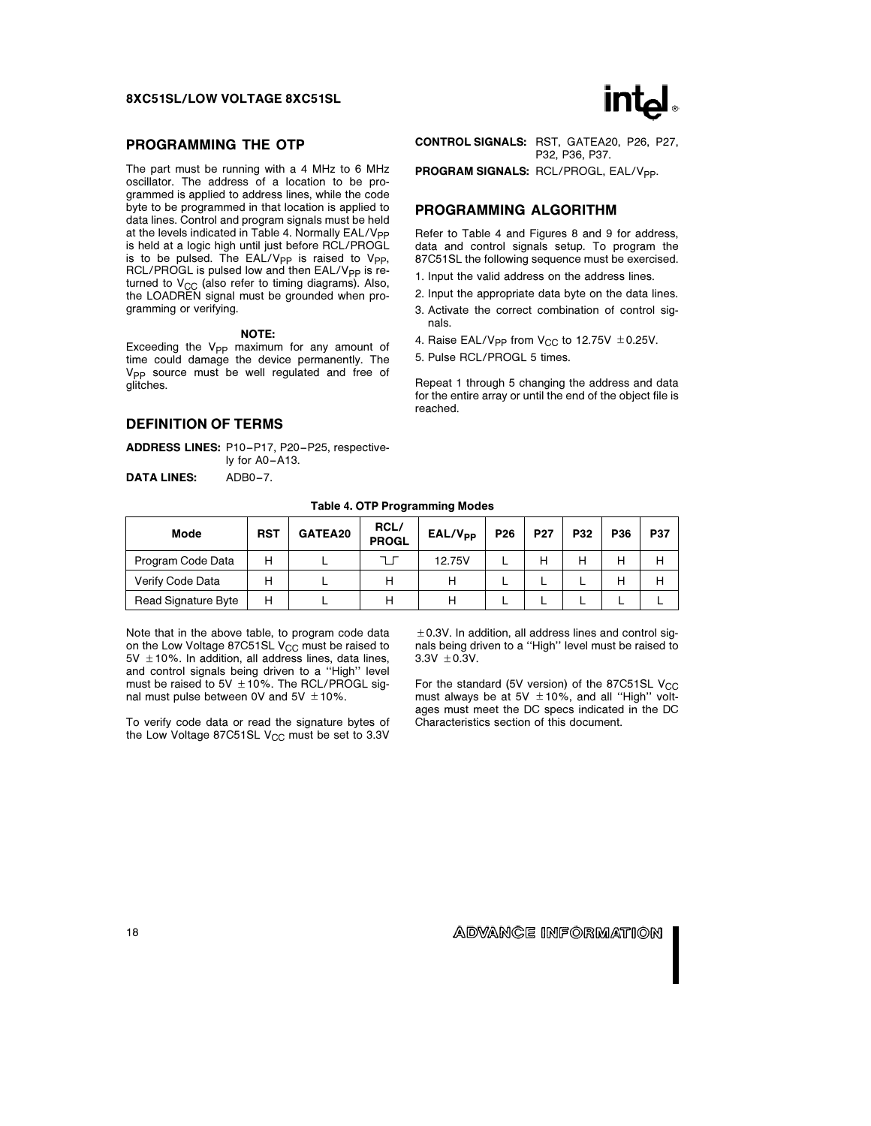#### PROGRAMMING THE OTP

The part must be running with a 4 MHz to 6 MHz oscillator. The address of a location to be programmed is applied to address lines, while the code byte to be programmed in that location is applied to data lines. Control and program signals must be held at the levels indicated in Table 4. Normally  $EAL/V_{PP}$ is held at a logic high until just before RCL/PROGL is to be pulsed. The EAL/V<sub>PP</sub> is raised to V<sub>PP</sub>, RCL/PROGL is pulsed low and then  $EAL/V_{PP}$  is returned to  $V_{CC}$  (also refer to timing diagrams). Also, the LOADREN signal must be grounded when programming or verifying.

#### NOTE:

Exceeding the V<sub>PP</sub> maximum for any amount of time could damage the device permanently. The V<sub>PP</sub> source must be well regulated and free of glitches.

#### DEFINITION OF TERMS

ADDRESS LINES: P10 –P17, P20 –P25, respectively for A0-A13.

DATA LINES: ADB0-7.

CONTROL SIGNALS: RST, GATEA20, P26, P27, P32, P36, P37.

PROGRAM SIGNALS: RCL/PROGL, EAL/Vpp.

### PROGRAMMING ALGORITHM

Refer to Table 4 and Figures 8 and 9 for address, data and control signals setup. To program the 87C51SL the following sequence must be exercised.

- 1. Input the valid address on the address lines.
- 2. Input the appropriate data byte on the data lines.
- 3. Activate the correct combination of control signals.
- 4. Raise EAL/V<sub>PP</sub> from V<sub>CC</sub> to 12.75V  $\pm$  0.25V.
- 5. Pulse RCL/PROGL 5 times.

Repeat 1 through 5 changing the address and data for the entire array or until the end of the object file is reached.

| Mode                | <b>RST</b> | GATEA20 | RCL/<br><b>PROGL</b> | EAL/V <sub>PP</sub> | P <sub>26</sub> | <b>P27</b> | P32 | P36 | <b>P37</b> |
|---------------------|------------|---------|----------------------|---------------------|-----------------|------------|-----|-----|------------|
| Program Code Data   | н          |         |                      | 12.75V              |                 |            |     |     | н          |
| Verify Code Data    | н          |         | Н                    |                     |                 |            |     |     |            |
| Read Signature Byte | н          |         | н                    | н                   |                 |            |     |     |            |

Note that in the above table, to program code data on the Low Voltage 87C51SL  $V_{CC}$  must be raised to  $5V \pm 10$ %. In addition, all address lines, data lines, and control signals being driven to a ''High'' level must be raised to 5V  $\pm$  10%. The RCL/PROGL signal must pulse between 0V and  $5V \pm 10\%$ .

To verify code data or read the signature bytes of the Low Voltage 87C51SL V<sub>CC</sub> must be set to 3.3V

 $\pm$  0.3V. In addition, all address lines and control signals being driven to a ''High'' level must be raised to  $3.3V \pm 0.3V$ .

For the standard (5V version) of the 87C51SL  $V_{\text{CC}}$ must always be at 5V  $\pm$  10%, and all "High" voltages must meet the DC specs indicated in the DC Characteristics section of this document.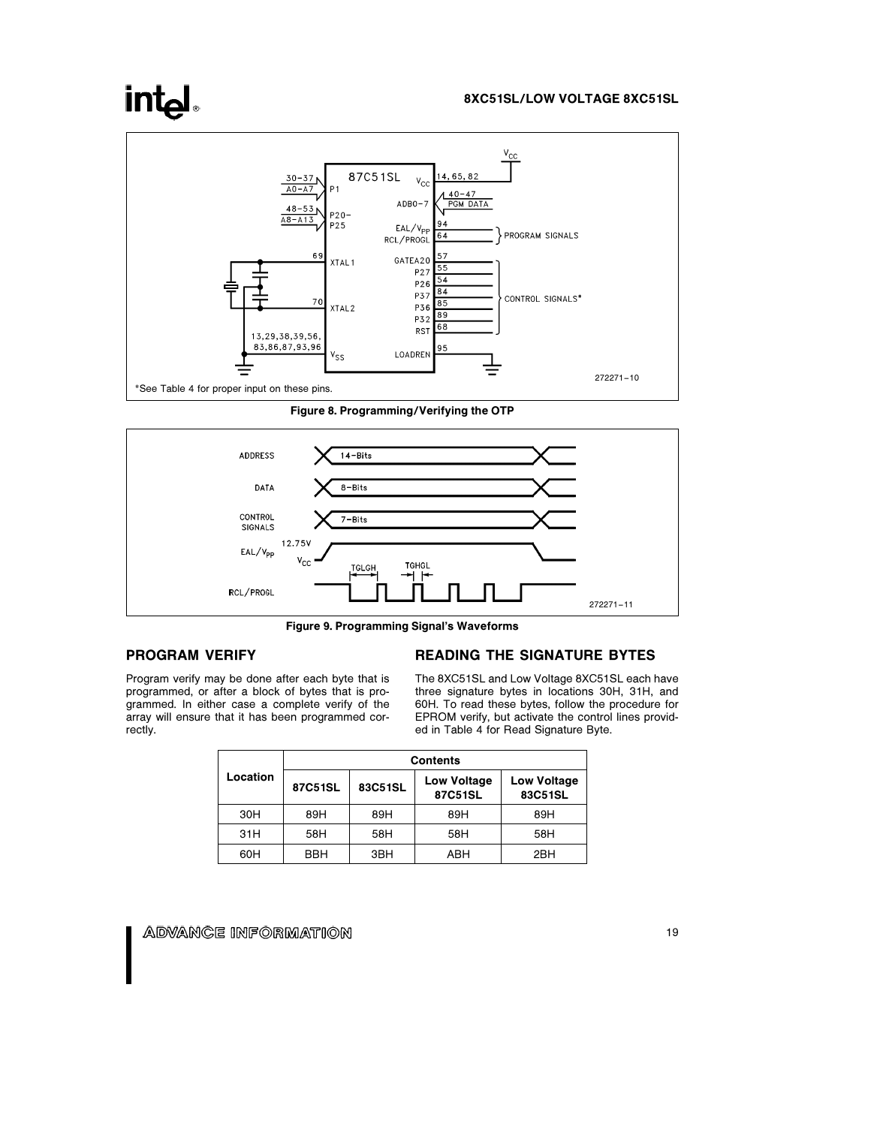## **intal**

#### 8XC51SL/LOW VOLTAGE 8XC51SL



Figure 8. Programming/Verifying the OTP



Figure 9. Programming Signal's Waveforms

### PROGRAM VERIFY

Program verify may be done after each byte that is programmed, or after a block of bytes that is programmed. In either case a complete verify of the array will ensure that it has been programmed correctly.

#### READING THE SIGNATURE BYTES

The 8XC51SL and Low Voltage 8XC51SL each have three signature bytes in locations 30H, 31H, and 60H. To read these bytes, follow the procedure for EPROM verify, but activate the control lines provided in Table 4 for Read Signature Byte.

|          | <b>Contents</b> |         |                               |                               |  |  |
|----------|-----------------|---------|-------------------------------|-------------------------------|--|--|
| Location | 87C51SL         | 83C51SL | <b>Low Voltage</b><br>87C51SL | <b>Low Voltage</b><br>83C51SL |  |  |
| 30H      | 89H             | 89H     | 89H                           | 89H                           |  |  |
| 31H      | 58H             | 58H     | 58H                           | 58H                           |  |  |
| 60H      | BBH             | 3BH     | ABH                           | 2BH                           |  |  |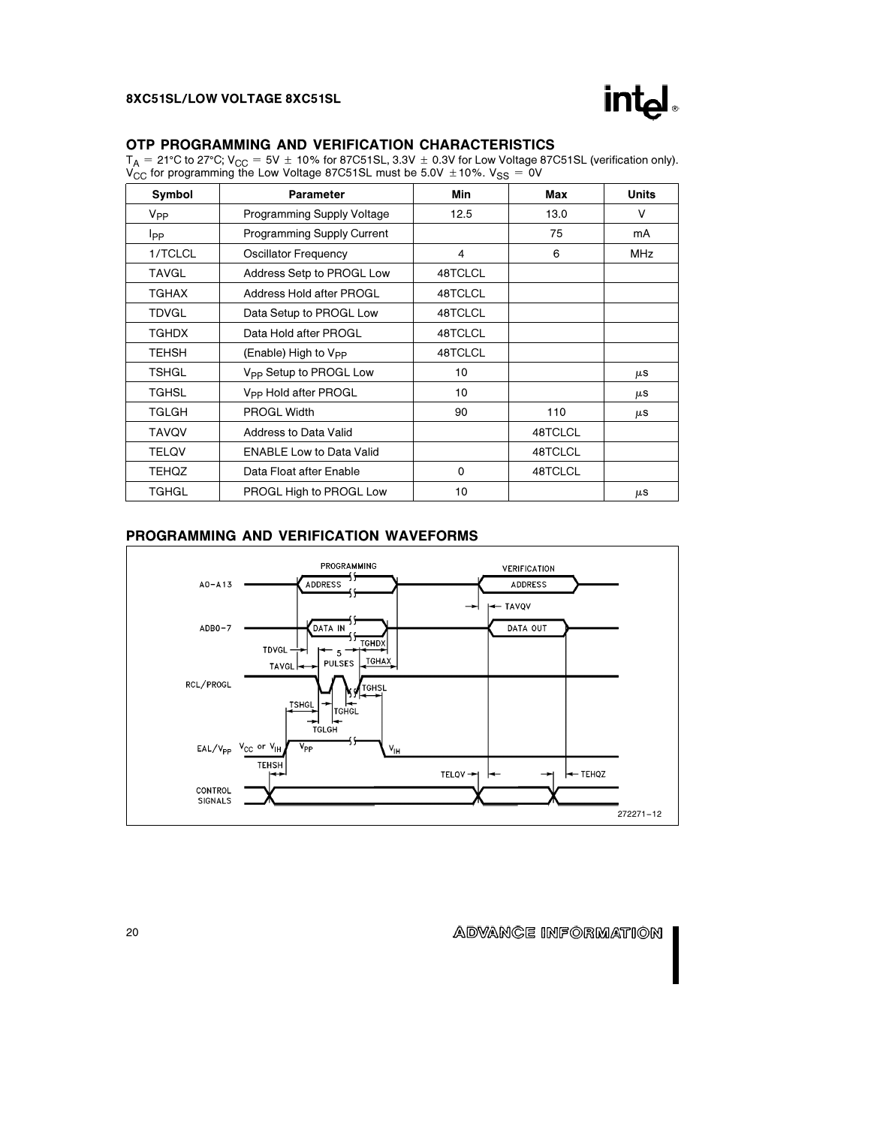

### OTP PROGRAMMING AND VERIFICATION CHARACTERISTICS

 $T_\mathsf{A} =$  21°C to 27°C; V<sub>CC</sub> = 5V  $\pm$  10% for 87C51SL, 3.3V  $\pm$  0.3V for Low Voltage 87C51SL (verification only).  $\rm V_{CC}^{'}$  for programming the Low Voltage 87C51SL must be 5.0V  $\pm$ 10%. V<sub>SS</sub> = 0V

| Symbol          | Parameter                          | Min     | Max     | <b>Units</b> |
|-----------------|------------------------------------|---------|---------|--------------|
| V <sub>PP</sub> | Programming Supply Voltage         | 12.5    | 13.0    | V            |
| <b>I</b> pp     | <b>Programming Supply Current</b>  |         | 75      | mA           |
| 1/TCLCL         | <b>Oscillator Frequency</b>        | 4       | 6       | <b>MHz</b>   |
| <b>TAVGL</b>    | Address Setp to PROGL Low          | 48TCLCL |         |              |
| <b>TGHAX</b>    | Address Hold after PROGL           | 48TCLCL |         |              |
| <b>TDVGL</b>    | Data Setup to PROGL Low            | 48TCLCL |         |              |
| <b>TGHDX</b>    | Data Hold after PROGL              | 48TCLCL |         |              |
| <b>TEHSH</b>    | (Enable) High to V <sub>PP</sub>   | 48TCLCL |         |              |
| <b>TSHGL</b>    | V <sub>PP</sub> Setup to PROGL Low | 10      |         | μS           |
| <b>TGHSL</b>    | V <sub>PP</sub> Hold after PROGL   | 10      |         | μS           |
| TGLGH           | <b>PROGL Width</b>                 | 90      | 110     | $\mu$ S      |
| <b>TAVQV</b>    | Address to Data Valid              |         | 48TCLCL |              |
| <b>TELQV</b>    | <b>ENABLE Low to Data Valid</b>    |         | 48TCLCL |              |
| <b>TEHQZ</b>    | Data Float after Enable            | 0       | 48TCLCL |              |
| <b>TGHGL</b>    | PROGL High to PROGL Low            | 10      |         | μS           |

## PROGRAMMING AND VERIFICATION WAVEFORMS

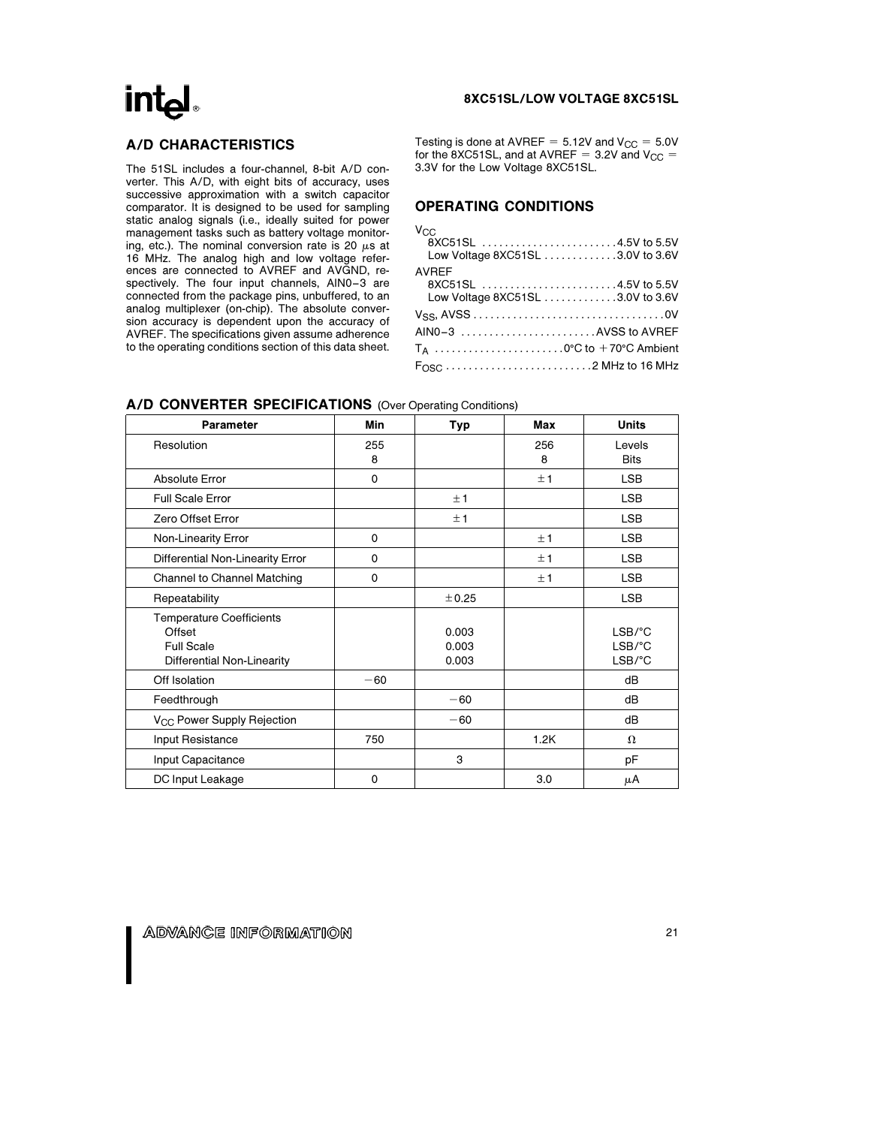## A/D CHARACTERISTICS

The 51SL includes a four-channel, 8-bit A/D converter. This A/D, with eight bits of accuracy, uses successive approximation with a switch capacitor comparator. It is designed to be used for sampling static analog signals (i.e., ideally suited for power management tasks such as battery voltage monitoring, etc.). The nominal conversion rate is 20  $\mu$ s at 16 MHz. The analog high and low voltage references are connected to AVREF and AVGND, respectively. The four input channels, AIN0-3 are connected from the package pins, unbuffered, to an analog multiplexer (on-chip). The absolute conversion accuracy is dependent upon the accuracy of AVREF. The specifications given assume adherence to the operating conditions section of this data sheet.

#### 8XC51SL/LOW VOLTAGE 8XC51SL

Testing is done at AVREF =  $5.12V$  and  $V_{CC} = 5.0V$ for the 8XC51SL, and at AVREF =  $3.2V$  and  $V_{CC}$  = 3.3V for the Low Voltage 8XC51SL.

## OPERATING CONDITIONS

| $V_{C}$ |  |  |
|---------|--|--|
|         |  |  |

| 8XC51SL 4.5V to 5.5V             |  |
|----------------------------------|--|
| Low Voltage 8XC51SL 3.0V to 3.6V |  |
| <b>AVREF</b>                     |  |
| 8XC51SL 4.5V to 5.5V             |  |
| Low Voltage 8XC51SL 3.0V to 3.6V |  |
|                                  |  |
| AINO-3 AVSS to AVREF             |  |
|                                  |  |
|                                  |  |

| <b>Parameter</b>                                                                             | Min         | Typ                     | Max      | <b>Units</b>                                                 |
|----------------------------------------------------------------------------------------------|-------------|-------------------------|----------|--------------------------------------------------------------|
| Resolution                                                                                   | 255<br>8    |                         | 256<br>8 | Levels<br><b>Bits</b>                                        |
| <b>Absolute Error</b>                                                                        | $\mathbf 0$ |                         | ±1       | <b>LSB</b>                                                   |
| <b>Full Scale Error</b>                                                                      |             | ±1                      |          | <b>LSB</b>                                                   |
| Zero Offset Error                                                                            |             | ±1                      |          | <b>LSB</b>                                                   |
| Non-Linearity Error                                                                          | $\Omega$    |                         | ±1       | <b>LSB</b>                                                   |
| Differential Non-Linearity Error                                                             | $\mathbf 0$ |                         | ±1       | <b>LSB</b>                                                   |
| Channel to Channel Matching                                                                  | $\mathbf 0$ |                         | ±1       | <b>LSB</b>                                                   |
| Repeatability                                                                                |             | ± 0.25                  |          | <b>LSB</b>                                                   |
| <b>Temperature Coefficients</b><br>Offset<br><b>Full Scale</b><br>Differential Non-Linearity |             | 0.003<br>0.003<br>0.003 |          | $LSB$ / $^{\circ}$ C<br>$LSB$ / $°C$<br>$LSB$ / $^{\circ}$ C |
| Off Isolation                                                                                | $-60$       |                         |          | dB                                                           |
| Feedthrough                                                                                  |             | $-60$                   |          | dB                                                           |
| V <sub>CC</sub> Power Supply Rejection                                                       |             | $-60$                   |          | dB                                                           |
| Input Resistance                                                                             | 750         |                         | 1.2K     | $\Omega$                                                     |
| Input Capacitance                                                                            |             | 3                       |          | рF                                                           |
| DC Input Leakage                                                                             | 0           |                         | 3.0      | μA                                                           |

#### A/D CONVERTER SPECIFICATIONS (Over Operating Conditions)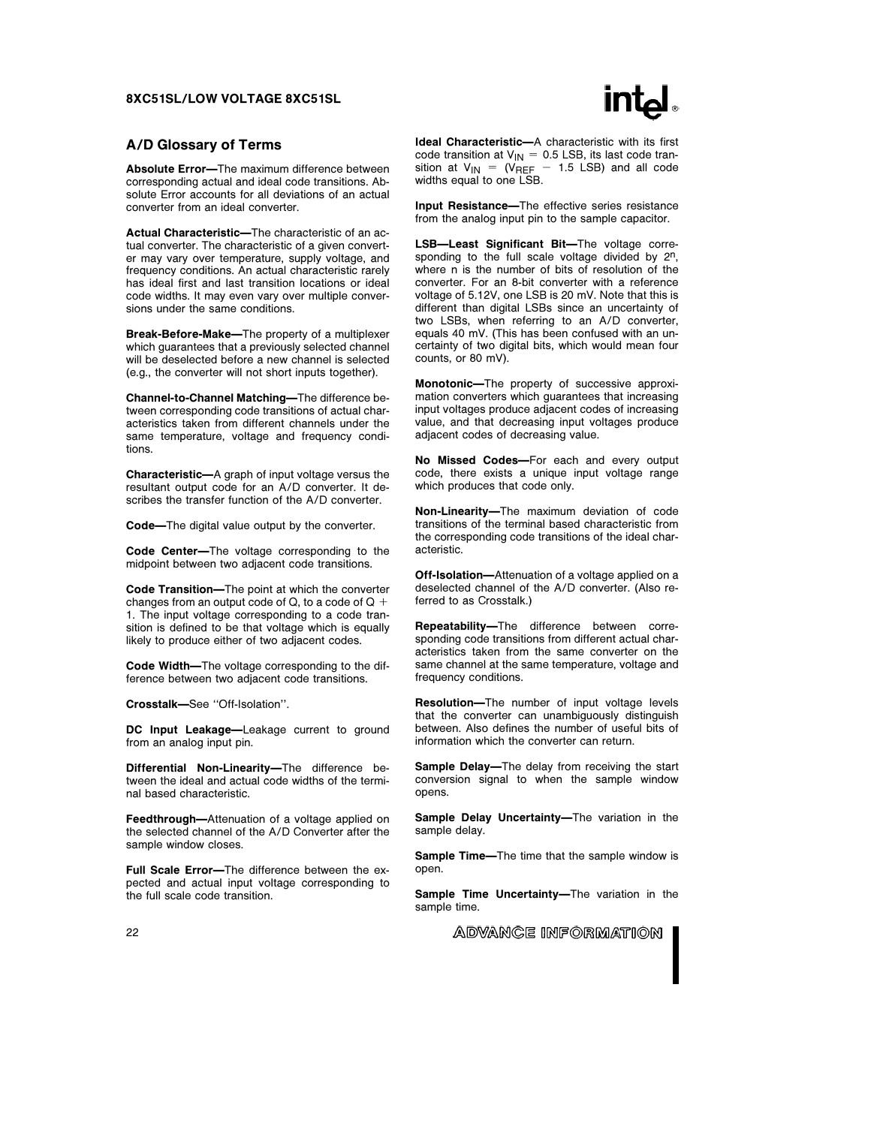

#### A/D Glossary of Terms

Absolute Error-The maximum difference between corresponding actual and ideal code transitions. Absolute Error accounts for all deviations of an actual converter from an ideal converter.

Actual Characteristic-The characteristic of an actual converter. The characteristic of a given converter may vary over temperature, supply voltage, and frequency conditions. An actual characteristic rarely has ideal first and last transition locations or ideal code widths. It may even vary over multiple conversions under the same conditions.

Break-Before-Make—The property of a multiplexer which guarantees that a previously selected channel will be deselected before a new channel is selected (e.g., the converter will not short inputs together).

Channel-to-Channel Matching-The difference between corresponding code transitions of actual characteristics taken from different channels under the same temperature, voltage and frequency conditions.

Characteristic-A graph of input voltage versus the resultant output code for an A/D converter. It describes the transfer function of the A/D converter.

Code-The digital value output by the converter.

Code Center—The voltage corresponding to the midpoint between two adjacent code transitions.

Code Transition—The point at which the converter changes from an output code of  $Q$ , to a code of  $Q +$ 1. The input voltage corresponding to a code transition is defined to be that voltage which is equally likely to produce either of two adjacent codes.

Code Width-The voltage corresponding to the difference between two adjacent code transitions.

Crosstalk-See "Off-Isolation".

DC Input Leakage-Leakage current to ground from an analog input pin.

Differential Non-Linearity-The difference between the ideal and actual code widths of the terminal based characteristic.

Feedthrough-Attenuation of a voltage applied on the selected channel of the A/D Converter after the sample window closes.

Full Scale Error-The difference between the expected and actual input voltage corresponding to the full scale code transition.

Ideal Characteristic-A characteristic with its first code transition at  $V_{IN} = 0.5$  LSB, its last code transition at  $V_{\text{IN}}$  = (V<sub>REF</sub> - 1.5 LSB) and all code widths equal to one LSB.

Input Resistance-The effective series resistance from the analog input pin to the sample capacitor.

LSB-Least Significant Bit-The voltage corresponding to the full scale voltage divided by  $2^n$ . where n is the number of bits of resolution of the converter. For an 8-bit converter with a reference voltage of 5.12V, one LSB is 20 mV. Note that this is different than digital LSBs since an uncertainty of two LSBs, when referring to an A/D converter, equals 40 mV. (This has been confused with an uncertainty of two digital bits, which would mean four counts, or 80 mV).

Monotonic-The property of successive approximation converters which guarantees that increasing input voltages produce adjacent codes of increasing value, and that decreasing input voltages produce adjacent codes of decreasing value.

No Missed Codes-For each and every output code, there exists a unique input voltage range which produces that code only.

Non-Linearity-The maximum deviation of code transitions of the terminal based characteristic from the corresponding code transitions of the ideal characteristic.

Off-Isolation-Attenuation of a voltage applied on a deselected channel of the A/D converter. (Also referred to as Crosstalk.)

Repeatability-The difference between corresponding code transitions from different actual characteristics taken from the same converter on the same channel at the same temperature, voltage and frequency conditions.

Resolution-The number of input voltage levels that the converter can unambiguously distinguish between. Also defines the number of useful bits of information which the converter can return.

Sample Delay-The delay from receiving the start conversion signal to when the sample window opens.

Sample Delay Uncertainty-The variation in the sample delay.

Sample Time-The time that the sample window is open.

Sample Time Uncertainty-The variation in the sample time.